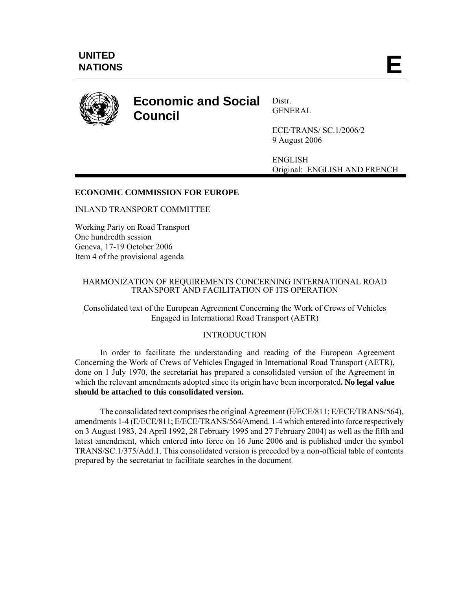

# **Economic and Social Council**

Distr. GENERAL

ECE/TRANS/ SC.1/2006/2 9 August 2006

ENGLISH Original: ENGLISH AND FRENCH

# **ECONOMIC COMMISSION FOR EUROPE**

INLAND TRANSPORT COMMITTEE

Working Party on Road Transport One hundredth session Geneva, 17-19 October 2006 Item 4 of the provisional agenda

## HARMONIZATION OF REQUIREMENTS CONCERNING INTERNATIONAL ROAD TRANSPORT AND FACILITATION OF ITS OPERATION

# Consolidated text of the European Agreement Concerning the Work of Crews of Vehicles Engaged in International Road Transport (AETR)

# INTRODUCTION

In order to facilitate the understanding and reading of the European Agreement Concerning the Work of Crews of Vehicles Engaged in International Road Transport (AETR), done on 1 July 1970, the secretariat has prepared a consolidated version of the Agreement in which the relevant amendments adopted since its origin have been incorporated**. No legal value should be attached to this consolidated version.** 

The consolidated text comprises the original Agreement (E/ECE/811; E/ECE/TRANS/564), amendments 1-4 (E/ECE/811; E/ECE/TRANS/564/Amend. 1-4 which entered into force respectively on 3 August 1983, 24 April 1992, 28 February 1995 and 27 February 2004) as well as the fifth and latest amendment, which entered into force on 16 June 2006 and is published under the symbol TRANS/SC.1/375/Add.1. This consolidated version is preceded by a non-official table of contents prepared by the secretariat to facilitate searches in the document*.*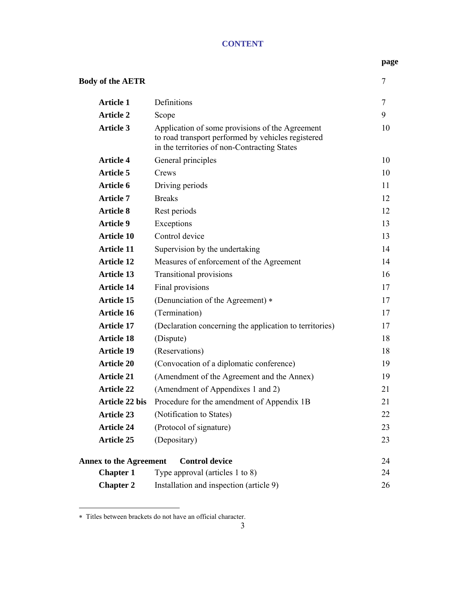# **CONTENT**

#### **page**

| <b>Body of the AETR</b>       |                                                                                                                                                       |    |
|-------------------------------|-------------------------------------------------------------------------------------------------------------------------------------------------------|----|
| <b>Article 1</b>              | Definitions                                                                                                                                           | 7  |
| <b>Article 2</b>              | Scope                                                                                                                                                 | 9  |
| <b>Article 3</b>              | Application of some provisions of the Agreement<br>to road transport performed by vehicles registered<br>in the territories of non-Contracting States | 10 |
| <b>Article 4</b>              | General principles                                                                                                                                    | 10 |
| Article 5                     | Crews                                                                                                                                                 | 10 |
| Article 6                     | Driving periods                                                                                                                                       | 11 |
| <b>Article 7</b>              | <b>Breaks</b>                                                                                                                                         | 12 |
| <b>Article 8</b>              | Rest periods                                                                                                                                          | 12 |
| <b>Article 9</b>              | Exceptions                                                                                                                                            | 13 |
| <b>Article 10</b>             | Control device                                                                                                                                        | 13 |
| <b>Article 11</b>             | Supervision by the undertaking                                                                                                                        | 14 |
| <b>Article 12</b>             | Measures of enforcement of the Agreement                                                                                                              | 14 |
| <b>Article 13</b>             | <b>Transitional provisions</b>                                                                                                                        | 16 |
| <b>Article 14</b>             | Final provisions                                                                                                                                      | 17 |
| <b>Article 15</b>             | (Denunciation of the Agreement) *                                                                                                                     | 17 |
| <b>Article 16</b>             | (Termination)                                                                                                                                         | 17 |
| <b>Article 17</b>             | (Declaration concerning the application to territories)                                                                                               | 17 |
| <b>Article 18</b>             | (Dispute)                                                                                                                                             | 18 |
| <b>Article 19</b>             | (Reservations)                                                                                                                                        | 18 |
| <b>Article 20</b>             | (Convocation of a diplomatic conference)                                                                                                              | 19 |
| <b>Article 21</b>             | (Amendment of the Agreement and the Annex)                                                                                                            | 19 |
| <b>Article 22</b>             | (Amendment of Appendixes 1 and 2)                                                                                                                     | 21 |
| Article 22 bis                | Procedure for the amendment of Appendix 1B                                                                                                            | 21 |
| <b>Article 23</b>             | (Notification to States)                                                                                                                              | 22 |
| <b>Article 24</b>             | (Protocol of signature)                                                                                                                               | 23 |
| <b>Article 25</b>             | (Depositary)                                                                                                                                          | 23 |
| <b>Annex to the Agreement</b> | <b>Control device</b>                                                                                                                                 | 24 |
| <b>Chapter 1</b>              | Type approval (articles $1$ to $8$ )                                                                                                                  | 24 |
| <b>Chapter 2</b>              | Installation and inspection (article 9)                                                                                                               | 26 |

<sup>∗</sup> Titles between brackets do not have an official character.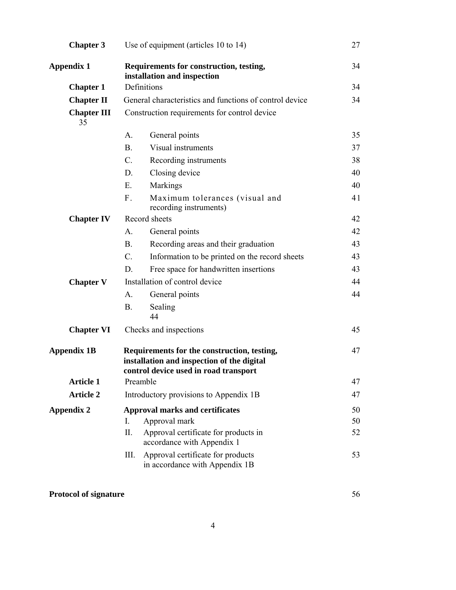| <b>Chapter 3</b>         |                 | Use of equipment (articles 10 to 14)                                                                                               | 27 |
|--------------------------|-----------------|------------------------------------------------------------------------------------------------------------------------------------|----|
| <b>Appendix 1</b>        |                 | Requirements for construction, testing,<br>installation and inspection                                                             | 34 |
| <b>Chapter 1</b>         |                 | Definitions                                                                                                                        | 34 |
| <b>Chapter II</b>        |                 | General characteristics and functions of control device                                                                            | 34 |
| <b>Chapter III</b><br>35 |                 | Construction requirements for control device                                                                                       |    |
|                          | A.              | General points                                                                                                                     | 35 |
|                          | <b>B.</b>       | Visual instruments                                                                                                                 | 37 |
|                          | $\mathcal{C}$ . | Recording instruments                                                                                                              | 38 |
|                          | D.              | Closing device                                                                                                                     | 40 |
|                          | E.              | Markings                                                                                                                           | 40 |
|                          | $F_{\perp}$     | Maximum tolerances (visual and<br>recording instruments)                                                                           | 41 |
| <b>Chapter IV</b>        |                 | Record sheets                                                                                                                      | 42 |
|                          | A.              | General points                                                                                                                     | 42 |
|                          | <b>B.</b>       | Recording areas and their graduation                                                                                               | 43 |
|                          | C.              | Information to be printed on the record sheets                                                                                     | 43 |
|                          | D.              | Free space for handwritten insertions                                                                                              | 43 |
| <b>Chapter V</b>         |                 | Installation of control device                                                                                                     | 44 |
|                          | $A_{\cdot}$     | General points                                                                                                                     | 44 |
|                          | <b>B.</b>       | Sealing<br>44                                                                                                                      |    |
| <b>Chapter VI</b>        |                 | Checks and inspections                                                                                                             | 45 |
| <b>Appendix 1B</b>       |                 | Requirements for the construction, testing,<br>installation and inspection of the digital<br>control device used in road transport | 47 |
| <b>Article 1</b>         |                 | Preamble                                                                                                                           | 47 |
| <b>Article 2</b>         |                 | Introductory provisions to Appendix 1B                                                                                             | 47 |
| <b>Appendix 2</b>        |                 | <b>Approval marks and certificates</b>                                                                                             | 50 |
|                          | I.              | Approval mark                                                                                                                      | 50 |
|                          | П.              | Approval certificate for products in<br>accordance with Appendix 1                                                                 | 52 |
|                          | Ш.              | Approval certificate for products<br>in accordance with Appendix 1B                                                                | 53 |

# **Protocol of signature** 56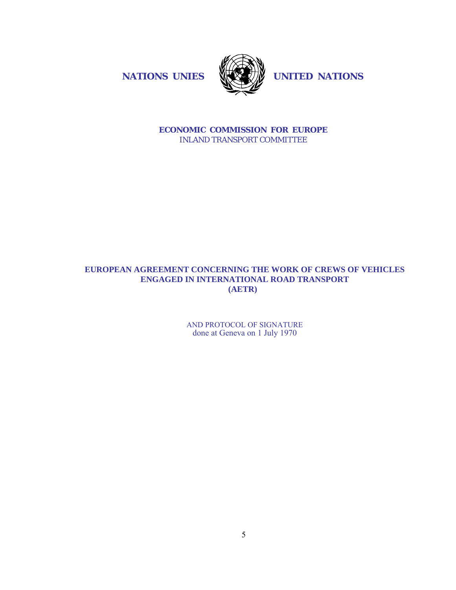**NATIONS UNIES WAS UNITED NATIONS** 



**ECONOMIC COMMISSION FOR EUROPE** INLAND TRANSPORT COMMITTEE

# **EUROPEAN AGREEMENT CONCERNING THE WORK OF CREWS OF VEHICLES ENGAGED IN INTERNATIONAL ROAD TRANSPORT (AETR)**

AND PROTOCOL OF SIGNATURE done at Geneva on 1 July 1970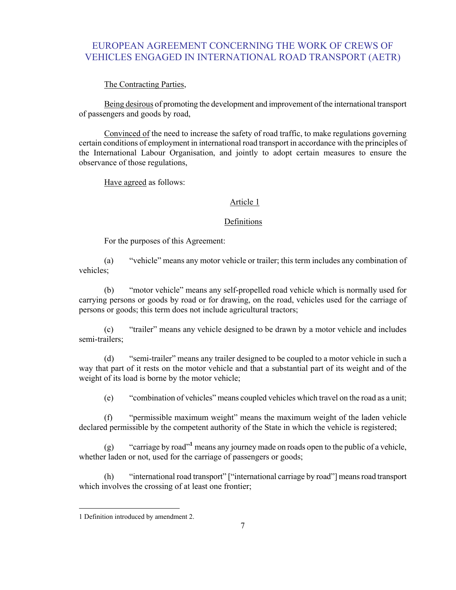# EUROPEAN AGREEMENT CONCERNING THE WORK OF CREWS OF VEHICLES ENGAGED IN INTERNATIONAL ROAD TRANSPORT (AETR)

## The Contracting Parties,

Being desirous of promoting the development and improvement of the international transport of passengers and goods by road,

Convinced of the need to increase the safety of road traffic, to make regulations governing certain conditions of employment in international road transport in accordance with the principles of the International Labour Organisation, and jointly to adopt certain measures to ensure the observance of those regulations,

Have agreed as follows:

#### Article 1

#### Definitions

For the purposes of this Agreement:

(a) "vehicle" means any motor vehicle or trailer; this term includes any combination of vehicles;

(b) "motor vehicle" means any self-propelled road vehicle which is normally used for carrying persons or goods by road or for drawing, on the road, vehicles used for the carriage of persons or goods; this term does not include agricultural tractors;

(c) "trailer" means any vehicle designed to be drawn by a motor vehicle and includes semi-trailers;

(d) "semi-trailer" means any trailer designed to be coupled to a motor vehicle in such a way that part of it rests on the motor vehicle and that a substantial part of its weight and of the weight of its load is borne by the motor vehicle;

(e) "combination of vehicles" means coupled vehicles which travel on the road as a unit;

(f) "permissible maximum weight" means the maximum weight of the laden vehicle declared permissible by the competent authority of the State in which the vehicle is registered;

(g) "carriage by road"**<sup>1</sup>**means any journey made on roads open to the public of a vehicle, whether laden or not, used for the carriage of passengers or goods;

(h) "international road transport" ["international carriage by road"] means road transport which involves the crossing of at least one frontier;

<sup>1</sup> Definition introduced by amendment 2.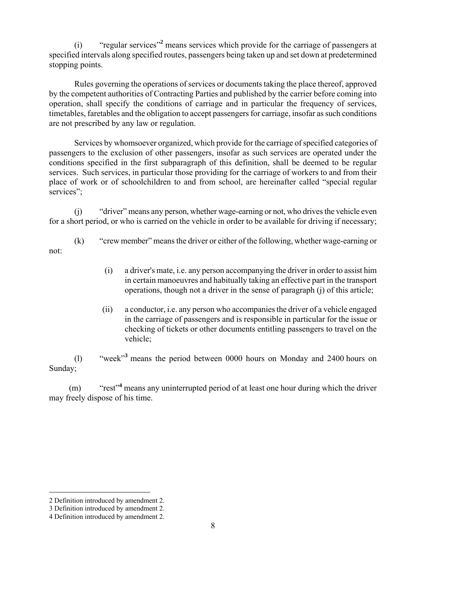(i) "regular services"**<sup>2</sup>** means services which provide for the carriage of passengers at specified intervals along specified routes, passengers being taken up and set down at predetermined stopping points.

Rules governing the operations of services or documents taking the place thereof, approved by the competent authorities of Contracting Parties and published by the carrier before coming into operation, shall specify the conditions of carriage and in particular the frequency of services, timetables, faretables and the obligation to accept passengers for carriage, insofar as such conditions are not prescribed by any law or regulation.

Services by whomsoever organized, which provide for the carriage of specified categories of passengers to the exclusion of other passengers, insofar as such services are operated under the conditions specified in the first subparagraph of this definition, shall be deemed to be regular services. Such services, in particular those providing for the carriage of workers to and from their place of work or of schoolchildren to and from school, are hereinafter called "special regular services":

(j) "driver" means any person, whether wage-earning or not, who drives the vehicle even for a short period, or who is carried on the vehicle in order to be available for driving if necessary;

(k) "crew member" means the driver or either of the following, whether wage-earning or not:

- (i) a driver's mate, i.e. any person accompanying the driver in order to assist him in certain manoeuvres and habitually taking an effective part in the transport operations, though not a driver in the sense of paragraph (j) of this article;
- (ii) a conductor, i.e. any person who accompanies the driver of a vehicle engaged in the carriage of passengers and is responsible in particular for the issue or checking of tickets or other documents entitling passengers to travel on the vehicle;

(l) "week"**<sup>3</sup>** means the period between 0000 hours on Monday and 2400 hours on Sunday;

(m) "rest"**<sup>4</sup>** means any uninterrupted period of at least one hour during which the driver may freely dispose of his time.

-

<sup>2</sup> Definition introduced by amendment 2.

<sup>3</sup> Definition introduced by amendment 2.

<sup>4</sup> Definition introduced by amendment 2.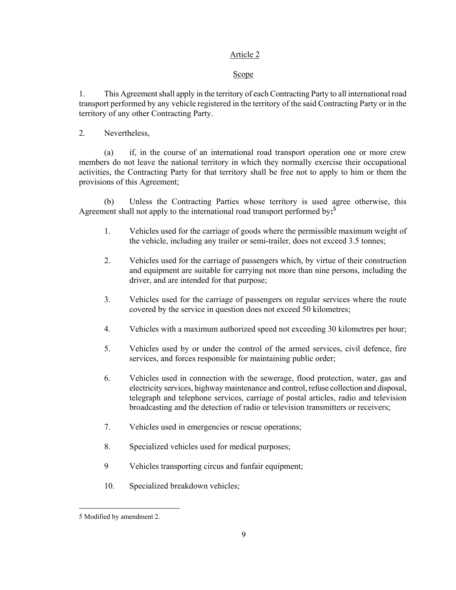# Article 2

## Scope

1. This Agreement shall apply in the territory of each Contracting Party to all international road transport performed by any vehicle registered in the territory of the said Contracting Party or in the territory of any other Contracting Party.

2. Nevertheless,

(a) if, in the course of an international road transport operation one or more crew members do not leave the national territory in which they normally exercise their occupational activities, the Contracting Party for that territory shall be free not to apply to him or them the provisions of this Agreement;

(b) Unless the Contracting Parties whose territory is used agree otherwise, this Agreement shall not apply to the international road transport performed by**: 5**

- 1. Vehicles used for the carriage of goods where the permissible maximum weight of the vehicle, including any trailer or semi-trailer, does not exceed 3.5 tonnes;
- 2. Vehicles used for the carriage of passengers which, by virtue of their construction and equipment are suitable for carrying not more than nine persons, including the driver, and are intended for that purpose;
- 3. Vehicles used for the carriage of passengers on regular services where the route covered by the service in question does not exceed 50 kilometres;
- 4. Vehicles with a maximum authorized speed not exceeding 30 kilometres per hour;
- 5. Vehicles used by or under the control of the armed services, civil defence, fire services, and forces responsible for maintaining public order;
- 6. Vehicles used in connection with the sewerage, flood protection, water, gas and electricity services, highway maintenance and control, refuse collection and disposal, telegraph and telephone services, carriage of postal articles, radio and television broadcasting and the detection of radio or television transmitters or receivers;
- 7. Vehicles used in emergencies or rescue operations;
- 8. Specialized vehicles used for medical purposes;
- 9 Vehicles transporting circus and funfair equipment;
- 10. Specialized breakdown vehicles;

<sup>5</sup> Modified by amendment 2.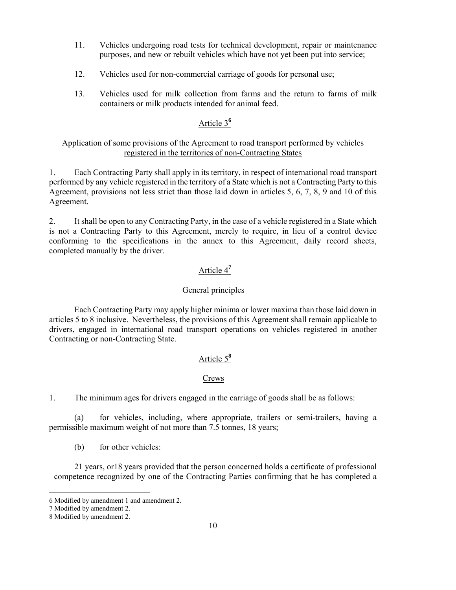- 11. Vehicles undergoing road tests for technical development, repair or maintenance purposes, and new or rebuilt vehicles which have not yet been put into service;
- 12. Vehicles used for non-commercial carriage of goods for personal use;
- 13. Vehicles used for milk collection from farms and the return to farms of milk containers or milk products intended for animal feed.

# Article 3**<sup>6</sup>**

## Application of some provisions of the Agreement to road transport performed by vehicles registered in the territories of non-Contracting States

1. Each Contracting Party shall apply in its territory, in respect of international road transport performed by any vehicle registered in the territory of a State which is not a Contracting Party to this Agreement, provisions not less strict than those laid down in articles 5, 6, 7, 8, 9 and 10 of this Agreement.

2. It shall be open to any Contracting Party, in the case of a vehicle registered in a State which is not a Contracting Party to this Agreement, merely to require, in lieu of a control device conforming to the specifications in the annex to this Agreement, daily record sheets, completed manually by the driver.

# Article 4**<sup>7</sup>**

# General principles

Each Contracting Party may apply higher minima or lower maxima than those laid down in articles 5 to 8 inclusive. Nevertheless, the provisions of this Agreement shall remain applicable to drivers, engaged in international road transport operations on vehicles registered in another Contracting or non-Contracting State.

# Article 5**<sup>8</sup>**

# Crews

1. The minimum ages for drivers engaged in the carriage of goods shall be as follows:

(a) for vehicles, including, where appropriate, trailers or semi-trailers, having a permissible maximum weight of not more than 7.5 tonnes, 18 years;

(b) for other vehicles:

 21 years, or18 years provided that the person concerned holds a certificate of professional competence recognized by one of the Contracting Parties confirming that he has completed a

-

<sup>6</sup> Modified by amendment 1 and amendment 2.

<sup>7</sup> Modified by amendment 2.

<sup>8</sup> Modified by amendment 2.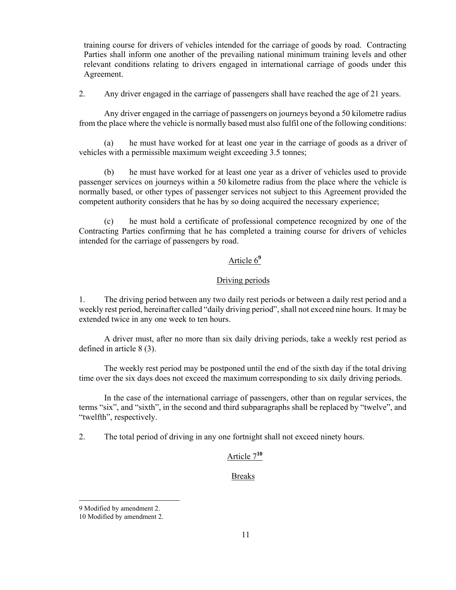training course for drivers of vehicles intended for the carriage of goods by road. Contracting Parties shall inform one another of the prevailing national minimum training levels and other relevant conditions relating to drivers engaged in international carriage of goods under this Agreement.

2. Any driver engaged in the carriage of passengers shall have reached the age of 21 years.

Any driver engaged in the carriage of passengers on journeys beyond a 50 kilometre radius from the place where the vehicle is normally based must also fulfil one of the following conditions:

(a) he must have worked for at least one year in the carriage of goods as a driver of vehicles with a permissible maximum weight exceeding 3.5 tonnes;

(b) he must have worked for at least one year as a driver of vehicles used to provide passenger services on journeys within a 50 kilometre radius from the place where the vehicle is normally based, or other types of passenger services not subject to this Agreement provided the competent authority considers that he has by so doing acquired the necessary experience;

(c) he must hold a certificate of professional competence recognized by one of the Contracting Parties confirming that he has completed a training course for drivers of vehicles intended for the carriage of passengers by road.

# Article 6**<sup>9</sup>**

#### Driving periods

1. The driving period between any two daily rest periods or between a daily rest period and a weekly rest period, hereinafter called "daily driving period", shall not exceed nine hours. It may be extended twice in any one week to ten hours.

A driver must, after no more than six daily driving periods, take a weekly rest period as defined in article 8 (3).

The weekly rest period may be postponed until the end of the sixth day if the total driving time over the six days does not exceed the maximum corresponding to six daily driving periods.

In the case of the international carriage of passengers, other than on regular services, the terms "six", and "sixth", in the second and third subparagraphs shall be replaced by "twelve", and "twelfth", respectively.

2. The total period of driving in any one fortnight shall not exceed ninety hours.

# Article 7**<sup>10</sup>**

#### Breaks

<sup>9</sup> Modified by amendment 2.

<sup>10</sup> Modified by amendment 2.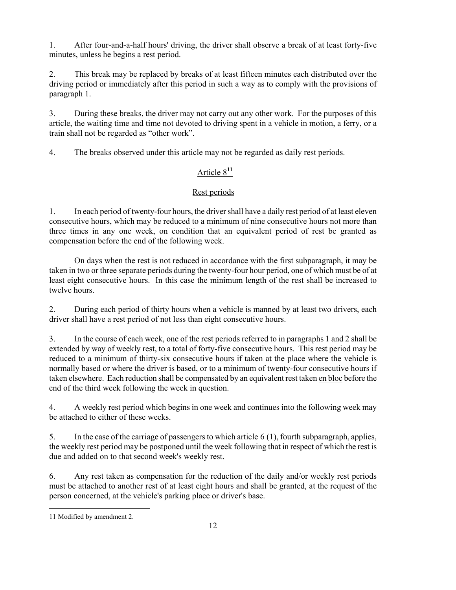1. After four-and-a-half hours' driving, the driver shall observe a break of at least forty-five minutes, unless he begins a rest period.

2. This break may be replaced by breaks of at least fifteen minutes each distributed over the driving period or immediately after this period in such a way as to comply with the provisions of paragraph 1.

3. During these breaks, the driver may not carry out any other work. For the purposes of this article, the waiting time and time not devoted to driving spent in a vehicle in motion, a ferry, or a train shall not be regarded as "other work".

4. The breaks observed under this article may not be regarded as daily rest periods.

# Article 8**<sup>11</sup>**

# Rest periods

1. In each period of twenty-four hours, the driver shall have a daily rest period of at least eleven consecutive hours, which may be reduced to a minimum of nine consecutive hours not more than three times in any one week, on condition that an equivalent period of rest be granted as compensation before the end of the following week.

On days when the rest is not reduced in accordance with the first subparagraph, it may be taken in two or three separate periods during the twenty-four hour period, one of which must be of at least eight consecutive hours. In this case the minimum length of the rest shall be increased to twelve hours.

2. During each period of thirty hours when a vehicle is manned by at least two drivers, each driver shall have a rest period of not less than eight consecutive hours.

3. In the course of each week, one of the rest periods referred to in paragraphs 1 and 2 shall be extended by way of weekly rest, to a total of forty-five consecutive hours. This rest period may be reduced to a minimum of thirty-six consecutive hours if taken at the place where the vehicle is normally based or where the driver is based, or to a minimum of twenty-four consecutive hours if taken elsewhere. Each reduction shall be compensated by an equivalent rest taken en bloc before the end of the third week following the week in question.

4. A weekly rest period which begins in one week and continues into the following week may be attached to either of these weeks.

5. In the case of the carriage of passengers to which article 6 (1), fourth subparagraph, applies, the weekly rest period may be postponed until the week following that in respect of which the rest is due and added on to that second week's weekly rest.

6. Any rest taken as compensation for the reduction of the daily and/or weekly rest periods must be attached to another rest of at least eight hours and shall be granted, at the request of the person concerned, at the vehicle's parking place or driver's base.

l 11 Modified by amendment 2.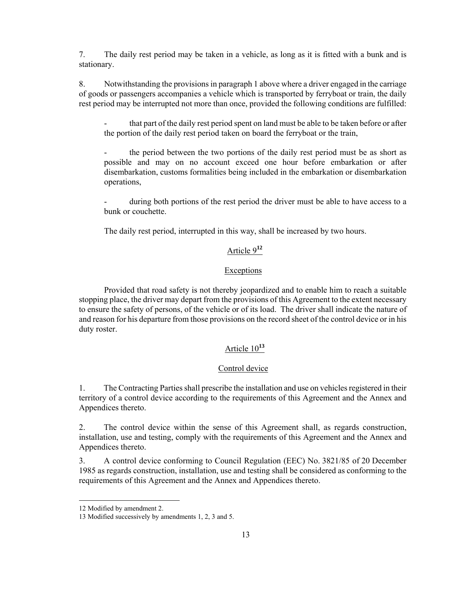7. The daily rest period may be taken in a vehicle, as long as it is fitted with a bunk and is stationary.

8. Notwithstanding the provisions in paragraph 1 above where a driver engaged in the carriage of goods or passengers accompanies a vehicle which is transported by ferryboat or train, the daily rest period may be interrupted not more than once, provided the following conditions are fulfilled:

that part of the daily rest period spent on land must be able to be taken before or after the portion of the daily rest period taken on board the ferryboat or the train,

the period between the two portions of the daily rest period must be as short as possible and may on no account exceed one hour before embarkation or after disembarkation, customs formalities being included in the embarkation or disembarkation operations,

during both portions of the rest period the driver must be able to have access to a bunk or couchette.

The daily rest period, interrupted in this way, shall be increased by two hours.

# Article 9**<sup>12</sup>**

# **Exceptions**

Provided that road safety is not thereby jeopardized and to enable him to reach a suitable stopping place, the driver may depart from the provisions of this Agreement to the extent necessary to ensure the safety of persons, of the vehicle or of its load. The driver shall indicate the nature of and reason for his departure from those provisions on the record sheet of the control device or in his duty roster.

# Article 10**<sup>13</sup>**

## Control device

1. The Contracting Parties shall prescribe the installation and use on vehicles registered in their territory of a control device according to the requirements of this Agreement and the Annex and Appendices thereto.

2. The control device within the sense of this Agreement shall, as regards construction, installation, use and testing, comply with the requirements of this Agreement and the Annex and Appendices thereto.

3. A control device conforming to Council Regulation (EEC) No. 3821/85 of 20 December 1985 as regards construction, installation, use and testing shall be considered as conforming to the requirements of this Agreement and the Annex and Appendices thereto.

<sup>12</sup> Modified by amendment 2.

<sup>13</sup> Modified successively by amendments 1, 2, 3 and 5.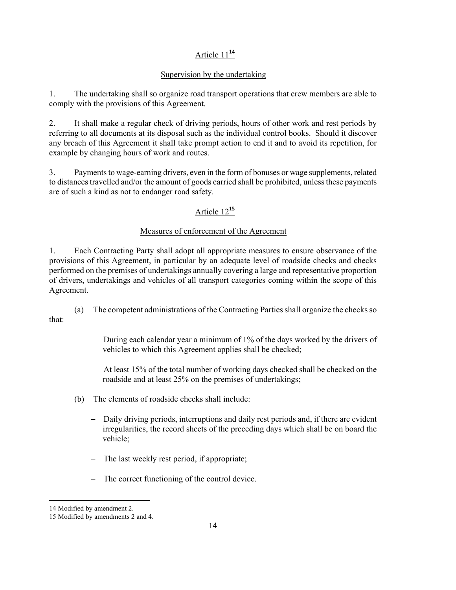# Article 11**<sup>14</sup>**

# Supervision by the undertaking

1. The undertaking shall so organize road transport operations that crew members are able to comply with the provisions of this Agreement.

2. It shall make a regular check of driving periods, hours of other work and rest periods by referring to all documents at its disposal such as the individual control books. Should it discover any breach of this Agreement it shall take prompt action to end it and to avoid its repetition, for example by changing hours of work and routes.

3. Payments to wage-earning drivers, even in the form of bonuses or wage supplements, related to distances travelled and/or the amount of goods carried shall be prohibited, unless these payments are of such a kind as not to endanger road safety.

# Article 12**<sup>15</sup>**

# Measures of enforcement of the Agreement

1. Each Contracting Party shall adopt all appropriate measures to ensure observance of the provisions of this Agreement, in particular by an adequate level of roadside checks and checks performed on the premises of undertakings annually covering a large and representative proportion of drivers, undertakings and vehicles of all transport categories coming within the scope of this Agreement.

 (a) The competent administrations of the Contracting Parties shall organize the checks so that:

- − During each calendar year a minimum of 1% of the days worked by the drivers of vehicles to which this Agreement applies shall be checked;
- − At least 15% of the total number of working days checked shall be checked on the roadside and at least 25% on the premises of undertakings;
- (b) The elements of roadside checks shall include:
	- − Daily driving periods, interruptions and daily rest periods and, if there are evident irregularities, the record sheets of the preceding days which shall be on board the vehicle;
	- − The last weekly rest period, if appropriate;
	- − The correct functioning of the control device.

l

<sup>14</sup> Modified by amendment 2.

<sup>15</sup> Modified by amendments 2 and 4.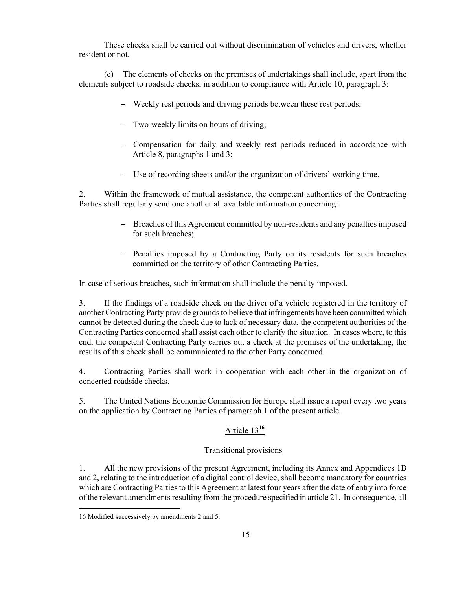These checks shall be carried out without discrimination of vehicles and drivers, whether resident or not.

 (c) The elements of checks on the premises of undertakings shall include, apart from the elements subject to roadside checks, in addition to compliance with Article 10, paragraph 3:

- − Weekly rest periods and driving periods between these rest periods;
- Two-weekly limits on hours of driving;
- − Compensation for daily and weekly rest periods reduced in accordance with Article 8, paragraphs 1 and 3;
- − Use of recording sheets and/or the organization of drivers' working time.

2. Within the framework of mutual assistance, the competent authorities of the Contracting Parties shall regularly send one another all available information concerning:

- − Breaches of this Agreement committed by non-residents and any penalties imposed for such breaches;
- − Penalties imposed by a Contracting Party on its residents for such breaches committed on the territory of other Contracting Parties.

In case of serious breaches, such information shall include the penalty imposed.

3. If the findings of a roadside check on the driver of a vehicle registered in the territory of another Contracting Party provide grounds to believe that infringements have been committed which cannot be detected during the check due to lack of necessary data, the competent authorities of the Contracting Parties concerned shall assist each other to clarify the situation. In cases where, to this end, the competent Contracting Party carries out a check at the premises of the undertaking, the results of this check shall be communicated to the other Party concerned.

4. Contracting Parties shall work in cooperation with each other in the organization of concerted roadside checks.

5. The United Nations Economic Commission for Europe shall issue a report every two years on the application by Contracting Parties of paragraph 1 of the present article.

# Article 13**<sup>16</sup>**

# Transitional provisions

1. All the new provisions of the present Agreement, including its Annex and Appendices 1B and 2, relating to the introduction of a digital control device, shall become mandatory for countries which are Contracting Parties to this Agreement at latest four years after the date of entry into force of the relevant amendments resulting from the procedure specified in article 21. In consequence, all

<sup>16</sup> Modified successively by amendments 2 and 5.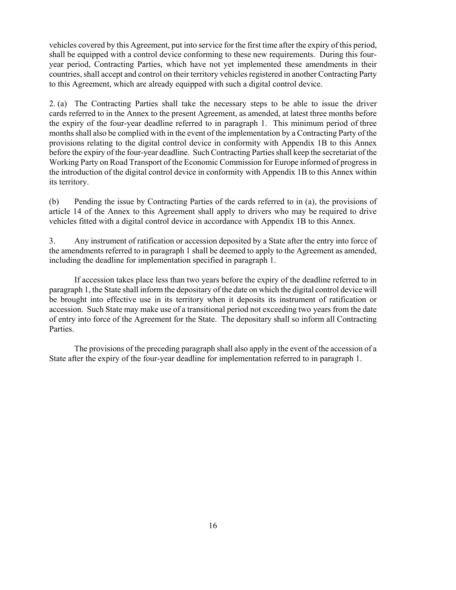vehicles covered by this Agreement, put into service for the first time after the expiry of this period, shall be equipped with a control device conforming to these new requirements. During this fouryear period, Contracting Parties, which have not yet implemented these amendments in their countries, shall accept and control on their territory vehicles registered in another Contracting Party to this Agreement, which are already equipped with such a digital control device.

2. (a) The Contracting Parties shall take the necessary steps to be able to issue the driver cards referred to in the Annex to the present Agreement, as amended, at latest three months before the expiry of the four-year deadline referred to in paragraph 1. This minimum period of three months shall also be complied with in the event of the implementation by a Contracting Party of the provisions relating to the digital control device in conformity with Appendix 1B to this Annex before the expiry of the four-year deadline. Such Contracting Parties shall keep the secretariat of the Working Party on Road Transport of the Economic Commission for Europe informed of progress in the introduction of the digital control device in conformity with Appendix 1B to this Annex within its territory.

(b) Pending the issue by Contracting Parties of the cards referred to in (a), the provisions of article 14 of the Annex to this Agreement shall apply to drivers who may be required to drive vehicles fitted with a digital control device in accordance with Appendix 1B to this Annex.

3. Any instrument of ratification or accession deposited by a State after the entry into force of the amendments referred to in paragraph 1 shall be deemed to apply to the Agreement as amended, including the deadline for implementation specified in paragraph 1.

 If accession takes place less than two years before the expiry of the deadline referred to in paragraph 1, the State shall inform the depositary of the date on which the digital control device will be brought into effective use in its territory when it deposits its instrument of ratification or accession. Such State may make use of a transitional period not exceeding two years from the date of entry into force of the Agreement for the State. The depositary shall so inform all Contracting Parties.

 The provisions of the preceding paragraph shall also apply in the event of the accession of a State after the expiry of the four-year deadline for implementation referred to in paragraph 1.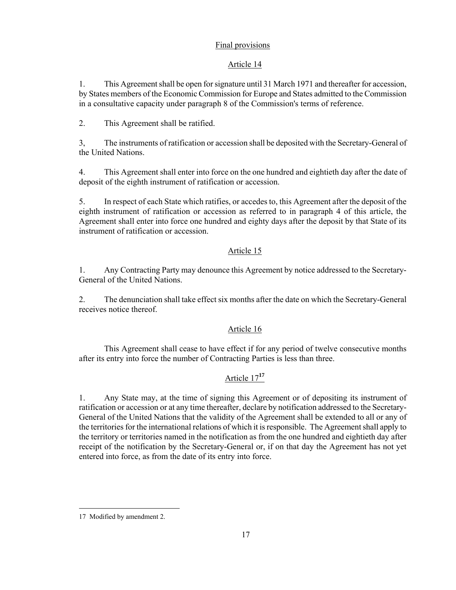# Final provisions

# Article 14

1. This Agreement shall be open for signature until 31 March 1971 and thereafter for accession, by States members of the Economic Commission for Europe and States admitted to the Commission in a consultative capacity under paragraph 8 of the Commission's terms of reference.

2. This Agreement shall be ratified.

3, The instruments of ratification or accession shall be deposited with the Secretary-General of the United Nations.

4. This Agreement shall enter into force on the one hundred and eightieth day after the date of deposit of the eighth instrument of ratification or accession.

5. In respect of each State which ratifies, or accedes to, this Agreement after the deposit of the eighth instrument of ratification or accession as referred to in paragraph 4 of this article, the Agreement shall enter into force one hundred and eighty days after the deposit by that State of its instrument of ratification or accession.

# Article 15

1. Any Contracting Party may denounce this Agreement by notice addressed to the Secretary-General of the United Nations.

2. The denunciation shall take effect six months after the date on which the Secretary-General receives notice thereof.

# Article 16

This Agreement shall cease to have effect if for any period of twelve consecutive months after its entry into force the number of Contracting Parties is less than three.

# Article 17**<sup>17</sup>**

1. Any State may, at the time of signing this Agreement or of depositing its instrument of ratification or accession or at any time thereafter, declare by notification addressed to the Secretary-General of the United Nations that the validity of the Agreement shall be extended to all or any of the territories for the international relations of which it is responsible. The Agreement shall apply to the territory or territories named in the notification as from the one hundred and eightieth day after receipt of the notification by the Secretary-General or, if on that day the Agreement has not yet entered into force, as from the date of its entry into force.

<sup>17</sup> Modified by amendment 2.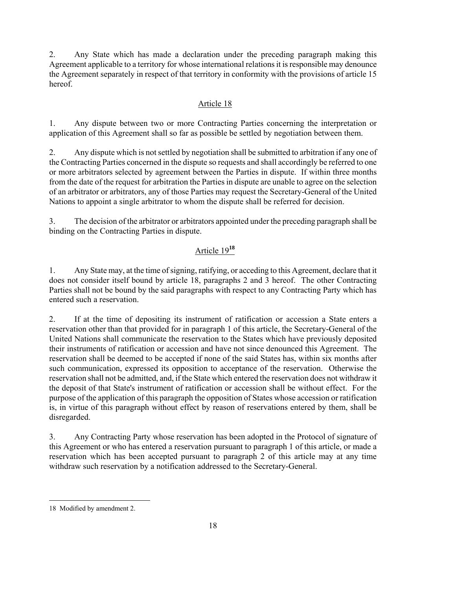2. Any State which has made a declaration under the preceding paragraph making this Agreement applicable to a territory for whose international relations it is responsible may denounce the Agreement separately in respect of that territory in conformity with the provisions of article 15 hereof.

# Article 18

1. Any dispute between two or more Contracting Parties concerning the interpretation or application of this Agreement shall so far as possible be settled by negotiation between them.

2. Any dispute which is not settled by negotiation shall be submitted to arbitration if any one of the Contracting Parties concerned in the dispute so requests and shall accordingly be referred to one or more arbitrators selected by agreement between the Parties in dispute. If within three months from the date of the request for arbitration the Parties in dispute are unable to agree on the selection of an arbitrator or arbitrators, any of those Parties may request the Secretary-General of the United Nations to appoint a single arbitrator to whom the dispute shall be referred for decision.

3. The decision of the arbitrator or arbitrators appointed under the preceding paragraph shall be binding on the Contracting Parties in dispute.

# Article 19**<sup>18</sup>**

1. Any State may, at the time of signing, ratifying, or acceding to this Agreement, declare that it does not consider itself bound by article 18, paragraphs 2 and 3 hereof. The other Contracting Parties shall not be bound by the said paragraphs with respect to any Contracting Party which has entered such a reservation.

2. If at the time of depositing its instrument of ratification or accession a State enters a reservation other than that provided for in paragraph 1 of this article, the Secretary-General of the United Nations shall communicate the reservation to the States which have previously deposited their instruments of ratification or accession and have not since denounced this Agreement. The reservation shall be deemed to be accepted if none of the said States has, within six months after such communication, expressed its opposition to acceptance of the reservation. Otherwise the reservation shall not be admitted, and, if the State which entered the reservation does not withdraw it the deposit of that State's instrument of ratification or accession shall be without effect. For the purpose of the application of this paragraph the opposition of States whose accession or ratification is, in virtue of this paragraph without effect by reason of reservations entered by them, shall be disregarded.

3. Any Contracting Party whose reservation has been adopted in the Protocol of signature of this Agreement or who has entered a reservation pursuant to paragraph 1 of this article, or made a reservation which has been accepted pursuant to paragraph 2 of this article may at any time withdraw such reservation by a notification addressed to the Secretary-General.

l

<sup>18</sup> Modified by amendment 2.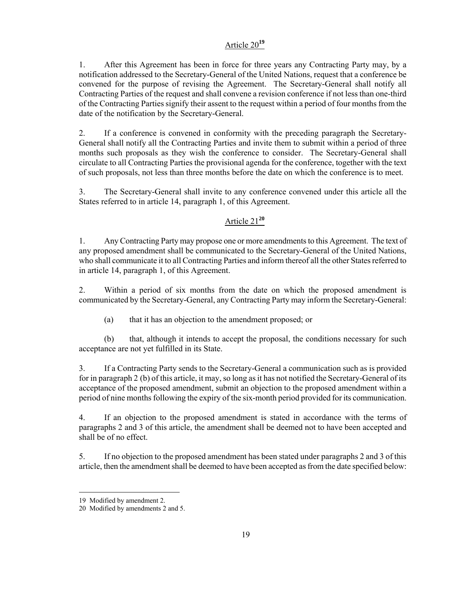# Article 20**<sup>19</sup>**

1. After this Agreement has been in force for three years any Contracting Party may, by a notification addressed to the Secretary-General of the United Nations, request that a conference be convened for the purpose of revising the Agreement. The Secretary-General shall notify all Contracting Parties of the request and shall convene a revision conference if not less than one-third of the Contracting Parties signify their assent to the request within a period of four months from the date of the notification by the Secretary-General.

2. If a conference is convened in conformity with the preceding paragraph the Secretary-General shall notify all the Contracting Parties and invite them to submit within a period of three months such proposals as they wish the conference to consider. The Secretary-General shall circulate to all Contracting Parties the provisional agenda for the conference, together with the text of such proposals, not less than three months before the date on which the conference is to meet.

3. The Secretary-General shall invite to any conference convened under this article all the States referred to in article 14, paragraph 1, of this Agreement.

# Article 21**<sup>20</sup>**

1. Any Contracting Party may propose one or more amendments to this Agreement. The text of any proposed amendment shall be communicated to the Secretary-General of the United Nations, who shall communicate it to all Contracting Parties and inform thereof all the other States referred to in article 14, paragraph 1, of this Agreement.

2. Within a period of six months from the date on which the proposed amendment is communicated by the Secretary-General, any Contracting Party may inform the Secretary-General:

(a) that it has an objection to the amendment proposed; or

(b) that, although it intends to accept the proposal, the conditions necessary for such acceptance are not yet fulfilled in its State.

3. If a Contracting Party sends to the Secretary-General a communication such as is provided for in paragraph 2 (b) of this article, it may, so long as it has not notified the Secretary-General of its acceptance of the proposed amendment, submit an objection to the proposed amendment within a period of nine months following the expiry of the six-month period provided for its communication.

4. If an objection to the proposed amendment is stated in accordance with the terms of paragraphs 2 and 3 of this article, the amendment shall be deemed not to have been accepted and shall be of no effect.

5. If no objection to the proposed amendment has been stated under paragraphs 2 and 3 of this article, then the amendment shall be deemed to have been accepted as from the date specified below:

<sup>19</sup> Modified by amendment 2.

<sup>20</sup> Modified by amendments 2 and 5.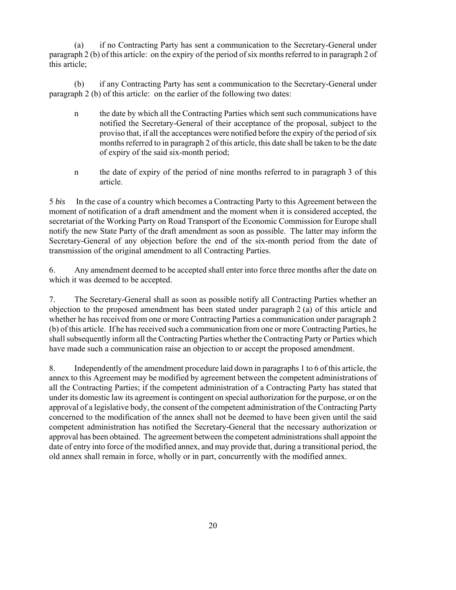(a) if no Contracting Party has sent a communication to the Secretary-General under paragraph 2 (b) of this article: on the expiry of the period of six months referred to in paragraph 2 of this article;

(b) if any Contracting Party has sent a communication to the Secretary-General under paragraph 2 (b) of this article: on the earlier of the following two dates:

- n the date by which all the Contracting Parties which sent such communications have notified the Secretary-General of their acceptance of the proposal, subject to the proviso that, if all the acceptances were notified before the expiry of the period of six months referred to in paragraph 2 of this article, this date shall be taken to be the date of expiry of the said six-month period;
- n the date of expiry of the period of nine months referred to in paragraph 3 of this article.

5 *bis* In the case of a country which becomes a Contracting Party to this Agreement between the moment of notification of a draft amendment and the moment when it is considered accepted, the secretariat of the Working Party on Road Transport of the Economic Commission for Europe shall notify the new State Party of the draft amendment as soon as possible. The latter may inform the Secretary-General of any objection before the end of the six-month period from the date of transmission of the original amendment to all Contracting Parties.

6. Any amendment deemed to be accepted shall enter into force three months after the date on which it was deemed to be accepted.

7. The Secretary-General shall as soon as possible notify all Contracting Parties whether an objection to the proposed amendment has been stated under paragraph 2 (a) of this article and whether he has received from one or more Contracting Parties a communication under paragraph 2 (b) of this article. If he has received such a communication from one or more Contracting Parties, he shall subsequently inform all the Contracting Parties whether the Contracting Party or Parties which have made such a communication raise an objection to or accept the proposed amendment.

8. Independently of the amendment procedure laid down in paragraphs 1 to 6 of this article, the annex to this Agreement may be modified by agreement between the competent administrations of all the Contracting Parties; if the competent administration of a Contracting Party has stated that under its domestic law its agreement is contingent on special authorization for the purpose, or on the approval of a legislative body, the consent of the competent administration of the Contracting Party concerned to the modification of the annex shall not be deemed to have been given until the said competent administration has notified the Secretary-General that the necessary authorization or approval has been obtained. The agreement between the competent administrations shall appoint the date of entry into force of the modified annex, and may provide that, during a transitional period, the old annex shall remain in force, wholly or in part, concurrently with the modified annex.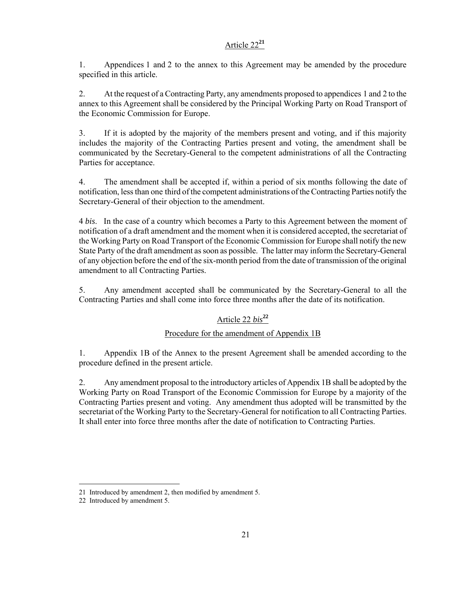# Article 22**<sup>21</sup>**

1. Appendices 1 and 2 to the annex to this Agreement may be amended by the procedure specified in this article.

2. At the request of a Contracting Party, any amendments proposed to appendices 1 and 2 to the annex to this Agreement shall be considered by the Principal Working Party on Road Transport of the Economic Commission for Europe.

3. If it is adopted by the majority of the members present and voting, and if this majority includes the majority of the Contracting Parties present and voting, the amendment shall be communicated by the Secretary-General to the competent administrations of all the Contracting Parties for acceptance.

4. The amendment shall be accepted if, within a period of six months following the date of notification, less than one third of the competent administrations of the Contracting Parties notify the Secretary-General of their objection to the amendment.

4 *bis*. In the case of a country which becomes a Party to this Agreement between the moment of notification of a draft amendment and the moment when it is considered accepted, the secretariat of the Working Party on Road Transport of the Economic Commission for Europe shall notify the new State Party of the draft amendment as soon as possible. The latter may inform the Secretary-General of any objection before the end of the six-month period from the date of transmission of the original amendment to all Contracting Parties.

5. Any amendment accepted shall be communicated by the Secretary-General to all the Contracting Parties and shall come into force three months after the date of its notification.

# Article 22 *bis***<sup>22</sup>**

# Procedure for the amendment of Appendix 1B

1. Appendix 1B of the Annex to the present Agreement shall be amended according to the procedure defined in the present article.

2. Any amendment proposal to the introductory articles of Appendix 1B shall be adopted by the Working Party on Road Transport of the Economic Commission for Europe by a majority of the Contracting Parties present and voting. Any amendment thus adopted will be transmitted by the secretariat of the Working Party to the Secretary-General for notification to all Contracting Parties. It shall enter into force three months after the date of notification to Contracting Parties.

 $\overline{a}$ 21 Introduced by amendment 2, then modified by amendment 5.

<sup>22</sup> Introduced by amendment 5.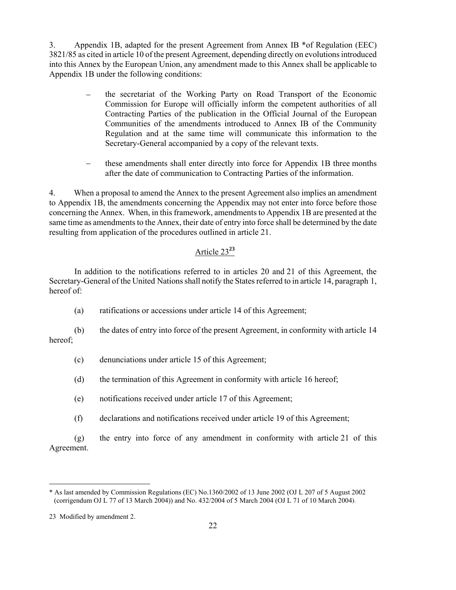3. Appendix 1B, adapted for the present Agreement from Annex IB \*of Regulation (EEC) 3821/85 as cited in article 10 of the present Agreement, depending directly on evolutions introduced into this Annex by the European Union, any amendment made to this Annex shall be applicable to Appendix 1B under the following conditions:

- the secretariat of the Working Party on Road Transport of the Economic Commission for Europe will officially inform the competent authorities of all Contracting Parties of the publication in the Official Journal of the European Communities of the amendments introduced to Annex IB of the Community Regulation and at the same time will communicate this information to the Secretary-General accompanied by a copy of the relevant texts.
- − these amendments shall enter directly into force for Appendix 1B three months after the date of communication to Contracting Parties of the information.

4. When a proposal to amend the Annex to the present Agreement also implies an amendment to Appendix 1B, the amendments concerning the Appendix may not enter into force before those concerning the Annex. When, in this framework, amendments to Appendix 1B are presented at the same time as amendments to the Annex, their date of entry into force shall be determined by the date resulting from application of the procedures outlined in article 21.

# Article 23**<sup>23</sup>**

In addition to the notifications referred to in articles 20 and 21 of this Agreement, the Secretary-General of the United Nations shall notify the States referred to in article 14, paragraph 1, hereof of:

(a) ratifications or accessions under article 14 of this Agreement;

(b) the dates of entry into force of the present Agreement, in conformity with article 14 hereof;

- (c) denunciations under article 15 of this Agreement;
- (d) the termination of this Agreement in conformity with article 16 hereof;
- (e) notifications received under article 17 of this Agreement;
- (f) declarations and notifications received under article 19 of this Agreement;

(g) the entry into force of any amendment in conformity with article 21 of this Agreement.

l

<sup>\*</sup> As last amended by Commission Regulations (EC) No.1360/2002 of 13 June 2002 (OJ L 207 of 5 August 2002 (corrigendum OJ L 77 of 13 March 2004)) and No. 432/2004 of 5 March 2004 (OJ L 71 of 10 March 2004).

<sup>23</sup> Modified by amendment 2.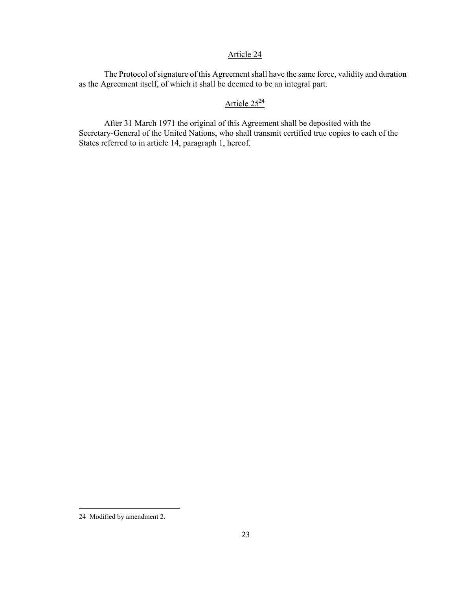## Article 24

The Protocol of signature of this Agreement shall have the same force, validity and duration as the Agreement itself, of which it shall be deemed to be an integral part.

# Article 25**<sup>24</sup>**

After 31 March 1971 the original of this Agreement shall be deposited with the Secretary-General of the United Nations, who shall transmit certified true copies to each of the States referred to in article 14, paragraph 1, hereof.

<sup>24</sup> Modified by amendment 2.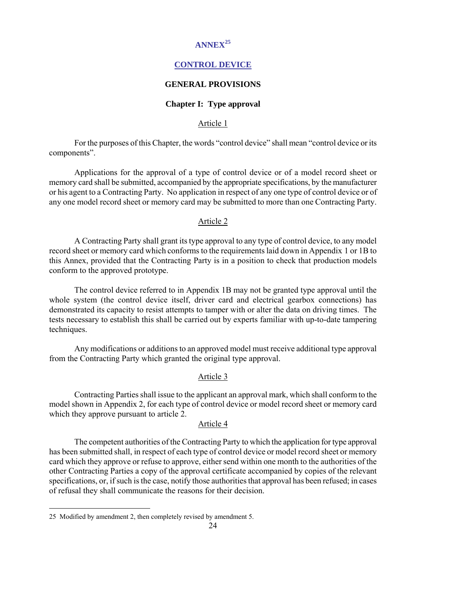# **ANNEX<sup>25</sup>**

## **CONTROL DEVICE**

#### **GENERAL PROVISIONS**

#### **Chapter I: Type approval**

#### Article 1

 For the purposes of this Chapter, the words "control device" shall mean "control device or its components".

 Applications for the approval of a type of control device or of a model record sheet or memory card shall be submitted, accompanied by the appropriate specifications, by the manufacturer or his agent to a Contracting Party. No application in respect of any one type of control device or of any one model record sheet or memory card may be submitted to more than one Contracting Party.

#### Article 2

 A Contracting Party shall grant its type approval to any type of control device, to any model record sheet or memory card which conforms to the requirements laid down in Appendix 1 or 1B to this Annex, provided that the Contracting Party is in a position to check that production models conform to the approved prototype.

 The control device referred to in Appendix 1B may not be granted type approval until the whole system (the control device itself, driver card and electrical gearbox connections) has demonstrated its capacity to resist attempts to tamper with or alter the data on driving times. The tests necessary to establish this shall be carried out by experts familiar with up-to-date tampering techniques.

 Any modifications or additions to an approved model must receive additional type approval from the Contracting Party which granted the original type approval.

## Article 3

 Contracting Parties shall issue to the applicant an approval mark, which shall conform to the model shown in Appendix 2, for each type of control device or model record sheet or memory card which they approve pursuant to article 2.

#### Article 4

 The competent authorities of the Contracting Party to which the application for type approval has been submitted shall, in respect of each type of control device or model record sheet or memory card which they approve or refuse to approve, either send within one month to the authorities of the other Contracting Parties a copy of the approval certificate accompanied by copies of the relevant specifications, or, if such is the case, notify those authorities that approval has been refused; in cases of refusal they shall communicate the reasons for their decision.

l

<sup>25</sup> Modified by amendment 2, then completely revised by amendment 5.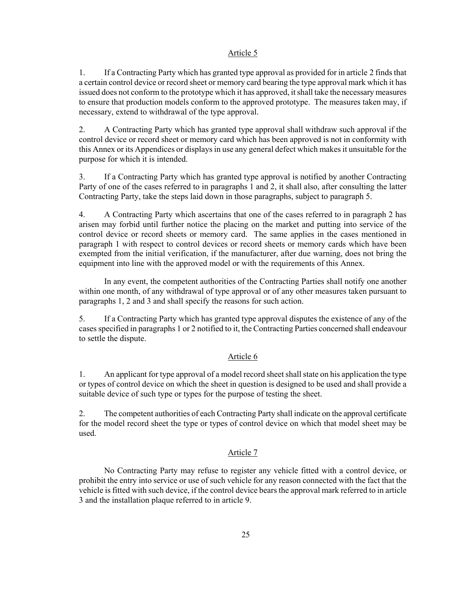## Article 5

1. If a Contracting Party which has granted type approval as provided for in article 2 finds that a certain control device or record sheet or memory card bearing the type approval mark which it has issued does not conform to the prototype which it has approved, it shall take the necessary measures to ensure that production models conform to the approved prototype. The measures taken may, if necessary, extend to withdrawal of the type approval.

2. A Contracting Party which has granted type approval shall withdraw such approval if the control device or record sheet or memory card which has been approved is not in conformity with this Annex or its Appendices or displays in use any general defect which makes it unsuitable for the purpose for which it is intended.

3. If a Contracting Party which has granted type approval is notified by another Contracting Party of one of the cases referred to in paragraphs 1 and 2, it shall also, after consulting the latter Contracting Party, take the steps laid down in those paragraphs, subject to paragraph 5.

4. A Contracting Party which ascertains that one of the cases referred to in paragraph 2 has arisen may forbid until further notice the placing on the market and putting into service of the control device or record sheets or memory card. The same applies in the cases mentioned in paragraph 1 with respect to control devices or record sheets or memory cards which have been exempted from the initial verification, if the manufacturer, after due warning, does not bring the equipment into line with the approved model or with the requirements of this Annex.

 In any event, the competent authorities of the Contracting Parties shall notify one another within one month, of any withdrawal of type approval or of any other measures taken pursuant to paragraphs 1, 2 and 3 and shall specify the reasons for such action.

5. If a Contracting Party which has granted type approval disputes the existence of any of the cases specified in paragraphs 1 or 2 notified to it, the Contracting Parties concerned shall endeavour to settle the dispute.

## Article 6

1. An applicant for type approval of a model record sheet shall state on his application the type or types of control device on which the sheet in question is designed to be used and shall provide a suitable device of such type or types for the purpose of testing the sheet.

2. The competent authorities of each Contracting Party shall indicate on the approval certificate for the model record sheet the type or types of control device on which that model sheet may be used.

# Article 7

 No Contracting Party may refuse to register any vehicle fitted with a control device, or prohibit the entry into service or use of such vehicle for any reason connected with the fact that the vehicle is fitted with such device, if the control device bears the approval mark referred to in article 3 and the installation plaque referred to in article 9.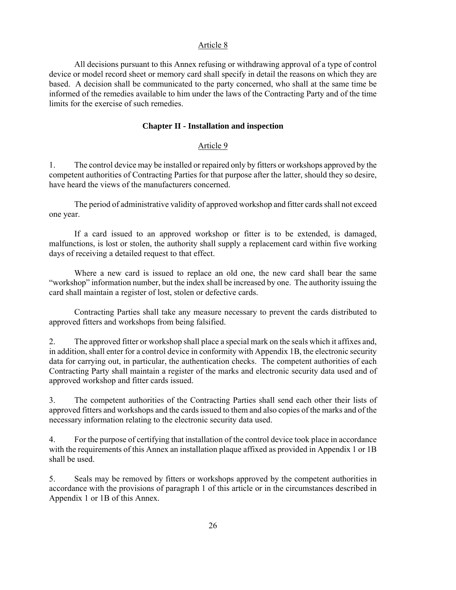#### Article 8

 All decisions pursuant to this Annex refusing or withdrawing approval of a type of control device or model record sheet or memory card shall specify in detail the reasons on which they are based. A decision shall be communicated to the party concerned, who shall at the same time be informed of the remedies available to him under the laws of the Contracting Party and of the time limits for the exercise of such remedies.

#### **Chapter II - Installation and inspection**

#### Article 9

1. The control device may be installed or repaired only by fitters or workshops approved by the competent authorities of Contracting Parties for that purpose after the latter, should they so desire, have heard the views of the manufacturers concerned.

 The period of administrative validity of approved workshop and fitter cards shall not exceed one year.

 If a card issued to an approved workshop or fitter is to be extended, is damaged, malfunctions, is lost or stolen, the authority shall supply a replacement card within five working days of receiving a detailed request to that effect.

 Where a new card is issued to replace an old one, the new card shall bear the same "workshop" information number, but the index shall be increased by one. The authority issuing the card shall maintain a register of lost, stolen or defective cards.

 Contracting Parties shall take any measure necessary to prevent the cards distributed to approved fitters and workshops from being falsified.

2. The approved fitter or workshop shall place a special mark on the seals which it affixes and, in addition, shall enter for a control device in conformity with Appendix 1B, the electronic security data for carrying out, in particular, the authentication checks. The competent authorities of each Contracting Party shall maintain a register of the marks and electronic security data used and of approved workshop and fitter cards issued.

3. The competent authorities of the Contracting Parties shall send each other their lists of approved fitters and workshops and the cards issued to them and also copies of the marks and of the necessary information relating to the electronic security data used.

4. For the purpose of certifying that installation of the control device took place in accordance with the requirements of this Annex an installation plaque affixed as provided in Appendix 1 or 1B shall be used.

5. Seals may be removed by fitters or workshops approved by the competent authorities in accordance with the provisions of paragraph 1 of this article or in the circumstances described in Appendix 1 or 1B of this Annex.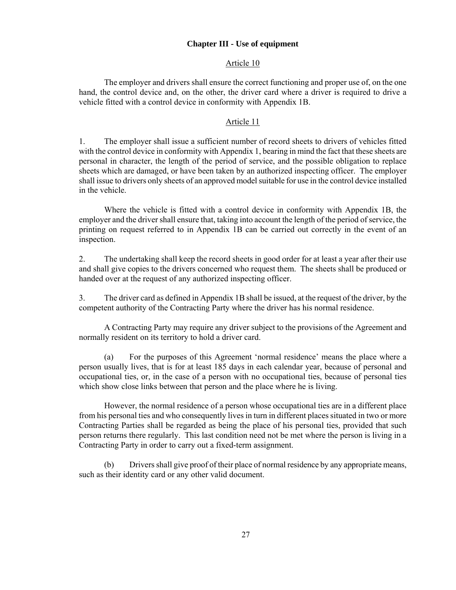#### **Chapter III - Use of equipment**

#### Article 10

 The employer and drivers shall ensure the correct functioning and proper use of, on the one hand, the control device and, on the other, the driver card where a driver is required to drive a vehicle fitted with a control device in conformity with Appendix 1B.

#### Article 11

1. The employer shall issue a sufficient number of record sheets to drivers of vehicles fitted with the control device in conformity with Appendix 1, bearing in mind the fact that these sheets are personal in character, the length of the period of service, and the possible obligation to replace sheets which are damaged, or have been taken by an authorized inspecting officer. The employer shall issue to drivers only sheets of an approved model suitable for use in the control device installed in the vehicle.

 Where the vehicle is fitted with a control device in conformity with Appendix 1B, the employer and the driver shall ensure that, taking into account the length of the period of service, the printing on request referred to in Appendix 1B can be carried out correctly in the event of an inspection.

2. The undertaking shall keep the record sheets in good order for at least a year after their use and shall give copies to the drivers concerned who request them. The sheets shall be produced or handed over at the request of any authorized inspecting officer.

3. The driver card as defined in Appendix 1B shall be issued, at the request of the driver, by the competent authority of the Contracting Party where the driver has his normal residence.

 A Contracting Party may require any driver subject to the provisions of the Agreement and normally resident on its territory to hold a driver card.

 (a) For the purposes of this Agreement 'normal residence' means the place where a person usually lives, that is for at least 185 days in each calendar year, because of personal and occupational ties, or, in the case of a person with no occupational ties, because of personal ties which show close links between that person and the place where he is living.

 However, the normal residence of a person whose occupational ties are in a different place from his personal ties and who consequently lives in turn in different places situated in two or more Contracting Parties shall be regarded as being the place of his personal ties, provided that such person returns there regularly. This last condition need not be met where the person is living in a Contracting Party in order to carry out a fixed-term assignment.

 (b) Drivers shall give proof of their place of normal residence by any appropriate means, such as their identity card or any other valid document.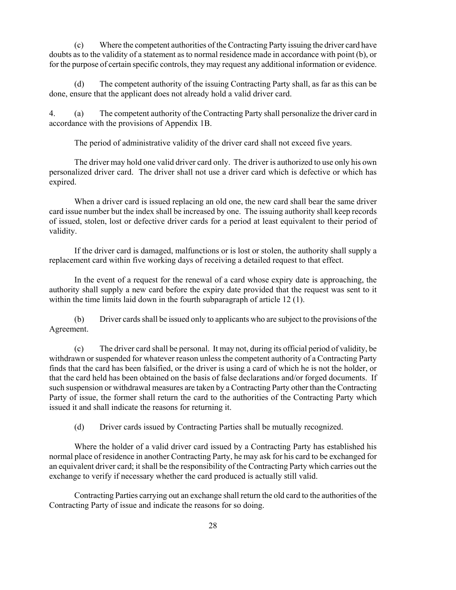(c) Where the competent authorities of the Contracting Party issuing the driver card have doubts as to the validity of a statement as to normal residence made in accordance with point (b), or for the purpose of certain specific controls, they may request any additional information or evidence.

 (d) The competent authority of the issuing Contracting Party shall, as far as this can be done, ensure that the applicant does not already hold a valid driver card.

4. (a) The competent authority of the Contracting Party shall personalize the driver card in accordance with the provisions of Appendix 1B.

The period of administrative validity of the driver card shall not exceed five years.

 The driver may hold one valid driver card only. The driver is authorized to use only his own personalized driver card. The driver shall not use a driver card which is defective or which has expired.

 When a driver card is issued replacing an old one, the new card shall bear the same driver card issue number but the index shall be increased by one. The issuing authority shall keep records of issued, stolen, lost or defective driver cards for a period at least equivalent to their period of validity.

 If the driver card is damaged, malfunctions or is lost or stolen, the authority shall supply a replacement card within five working days of receiving a detailed request to that effect.

 In the event of a request for the renewal of a card whose expiry date is approaching, the authority shall supply a new card before the expiry date provided that the request was sent to it within the time limits laid down in the fourth subparagraph of article 12 (1).

 (b) Driver cards shall be issued only to applicants who are subject to the provisions of the Agreement.

 (c) The driver card shall be personal. It may not, during its official period of validity, be withdrawn or suspended for whatever reason unless the competent authority of a Contracting Party finds that the card has been falsified, or the driver is using a card of which he is not the holder, or that the card held has been obtained on the basis of false declarations and/or forged documents. If such suspension or withdrawal measures are taken by a Contracting Party other than the Contracting Party of issue, the former shall return the card to the authorities of the Contracting Party which issued it and shall indicate the reasons for returning it.

(d) Driver cards issued by Contracting Parties shall be mutually recognized.

 Where the holder of a valid driver card issued by a Contracting Party has established his normal place of residence in another Contracting Party, he may ask for his card to be exchanged for an equivalent driver card; it shall be the responsibility of the Contracting Party which carries out the exchange to verify if necessary whether the card produced is actually still valid.

 Contracting Parties carrying out an exchange shall return the old card to the authorities of the Contracting Party of issue and indicate the reasons for so doing.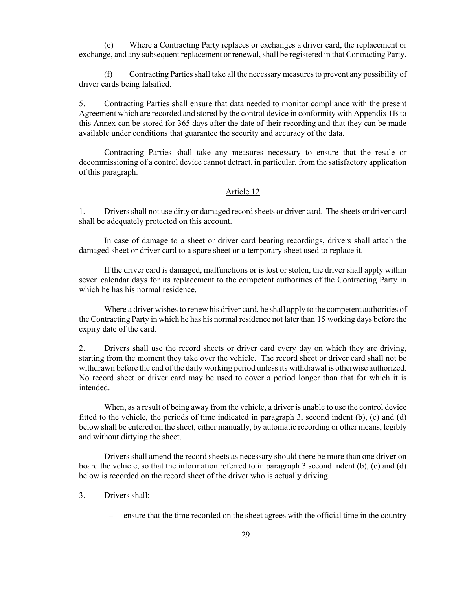(e) Where a Contracting Party replaces or exchanges a driver card, the replacement or exchange, and any subsequent replacement or renewal, shall be registered in that Contracting Party.

 (f) Contracting Parties shall take all the necessary measures to prevent any possibility of driver cards being falsified.

5. Contracting Parties shall ensure that data needed to monitor compliance with the present Agreement which are recorded and stored by the control device in conformity with Appendix 1B to this Annex can be stored for 365 days after the date of their recording and that they can be made available under conditions that guarantee the security and accuracy of the data.

 Contracting Parties shall take any measures necessary to ensure that the resale or decommissioning of a control device cannot detract, in particular, from the satisfactory application of this paragraph.

#### Article 12

1. Drivers shall not use dirty or damaged record sheets or driver card. The sheets or driver card shall be adequately protected on this account.

 In case of damage to a sheet or driver card bearing recordings, drivers shall attach the damaged sheet or driver card to a spare sheet or a temporary sheet used to replace it.

 If the driver card is damaged, malfunctions or is lost or stolen, the driver shall apply within seven calendar days for its replacement to the competent authorities of the Contracting Party in which he has his normal residence.

 Where a driver wishes to renew his driver card, he shall apply to the competent authorities of the Contracting Party in which he has his normal residence not later than 15 working days before the expiry date of the card.

2. Drivers shall use the record sheets or driver card every day on which they are driving, starting from the moment they take over the vehicle. The record sheet or driver card shall not be withdrawn before the end of the daily working period unless its withdrawal is otherwise authorized. No record sheet or driver card may be used to cover a period longer than that for which it is intended.

 When, as a result of being away from the vehicle, a driver is unable to use the control device fitted to the vehicle, the periods of time indicated in paragraph 3, second indent (b), (c) and (d) below shall be entered on the sheet, either manually, by automatic recording or other means, legibly and without dirtying the sheet.

 Drivers shall amend the record sheets as necessary should there be more than one driver on board the vehicle, so that the information referred to in paragraph 3 second indent (b), (c) and (d) below is recorded on the record sheet of the driver who is actually driving.

## 3. Drivers shall:

ensure that the time recorded on the sheet agrees with the official time in the country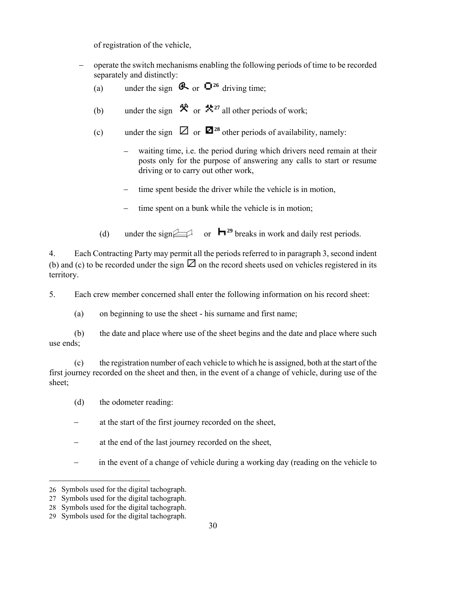of registration of the vehicle,

- − operate the switch mechanisms enabling the following periods of time to be recorded separately and distinctly:
	- (a) under the sign  $\bigotimes$  or  $\bigcirc^{26}$  driving time;
	- (b) under the sign  $\mathcal{R}$  or  $\mathcal{R}^{27}$  all other periods of work;
	- (c) under the sign  $\boxtimes$  or  $\blacksquare$ <sup>28</sup> other periods of availability, namely:
		- waiting time, i.e. the period during which drivers need remain at their posts only for the purpose of answering any calls to start or resume driving or to carry out other work,
		- time spent beside the driver while the vehicle is in motion,
		- time spent on a bunk while the vehicle is in motion;
		- (d) under the sign  $\Box$  or  $\Box$  breaks in work and daily rest periods.

4. Each Contracting Party may permit all the periods referred to in paragraph 3, second indent (b) and (c) to be recorded under the sign  $\boxtimes$  on the record sheets used on vehicles registered in its territory.

5. Each crew member concerned shall enter the following information on his record sheet:

(a) on beginning to use the sheet - his surname and first name;

 (b) the date and place where use of the sheet begins and the date and place where such use ends;

 (c) the registration number of each vehicle to which he is assigned, both at the start of the first journey recorded on the sheet and then, in the event of a change of vehicle, during use of the sheet;

- (d) the odometer reading:
- at the start of the first journey recorded on the sheet,
- at the end of the last journey recorded on the sheet,
- − in the event of a change of vehicle during a working day (reading on the vehicle to

-

<sup>26</sup> Symbols used for the digital tachograph.

<sup>27</sup> Symbols used for the digital tachograph.

<sup>28</sup> Symbols used for the digital tachograph.

<sup>29</sup> Symbols used for the digital tachograph.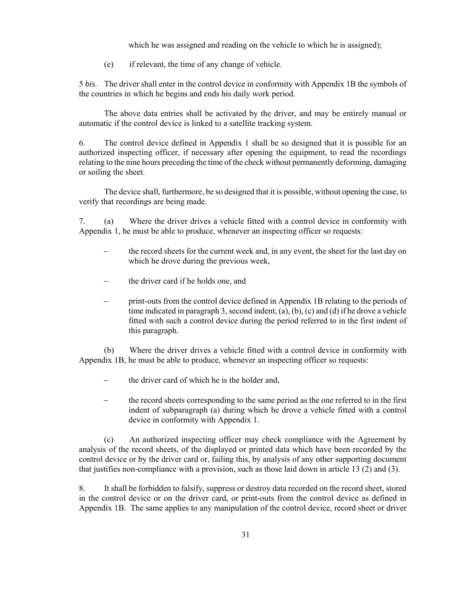which he was assigned and reading on the vehicle to which he is assigned);

(e) if relevant, the time of any change of vehicle.

5 *bis*. The driver shall enter in the control device in conformity with Appendix 1B the symbols of the countries in which he begins and ends his daily work period.

 The above data entries shall be activated by the driver, and may be entirely manual or automatic if the control device is linked to a satellite tracking system.

6. The control device defined in Appendix 1 shall be so designed that it is possible for an authorized inspecting officer, if necessary after opening the equipment, to read the recordings relating to the nine hours preceding the time of the check without permanently deforming, damaging or soiling the sheet.

 The device shall, furthermore, be so designed that it is possible, without opening the case, to verify that recordings are being made.

7. (a) Where the driver drives a vehicle fitted with a control device in conformity with Appendix 1, he must be able to produce, whenever an inspecting officer so requests:

- the record sheets for the current week and, in any event, the sheet for the last day on which he drove during the previous week,
- − the driver card if he holds one, and
- − print-outs from the control device defined in Appendix 1B relating to the periods of time indicated in paragraph 3, second indent, (a), (b), (c) and (d) if he drove a vehicle fitted with such a control device during the period referred to in the first indent of this paragraph.

 (b) Where the driver drives a vehicle fitted with a control device in conformity with Appendix 1B, he must be able to produce, whenever an inspecting officer so requests:

- − the driver card of which he is the holder and,
- − the record sheets corresponding to the same period as the one referred to in the first indent of subparagraph (a) during which he drove a vehicle fitted with a control device in conformity with Appendix 1.

 (c) An authorized inspecting officer may check compliance with the Agreement by analysis of the record sheets, of the displayed or printed data which have been recorded by the control device or by the driver card or, failing this, by analysis of any other supporting document that justifies non-compliance with a provision, such as those laid down in article 13 (2) and (3).

8. It shall be forbidden to falsify, suppress or destroy data recorded on the record sheet, stored in the control device or on the driver card, or print-outs from the control device as defined in Appendix 1B. The same applies to any manipulation of the control device, record sheet or driver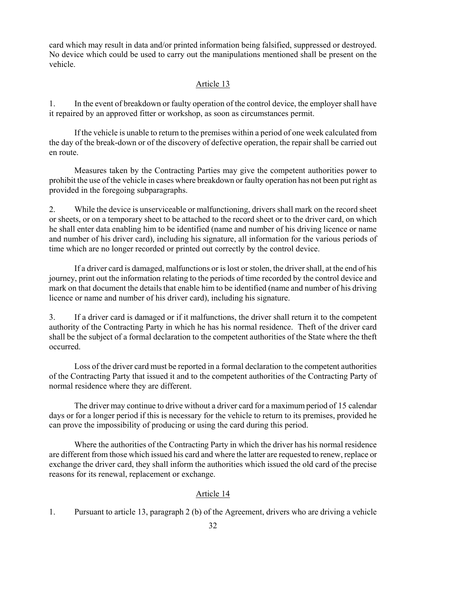card which may result in data and/or printed information being falsified, suppressed or destroyed. No device which could be used to carry out the manipulations mentioned shall be present on the vehicle.

## Article 13

1. In the event of breakdown or faulty operation of the control device, the employer shall have it repaired by an approved fitter or workshop, as soon as circumstances permit.

 If the vehicle is unable to return to the premises within a period of one week calculated from the day of the break-down or of the discovery of defective operation, the repair shall be carried out en route.

 Measures taken by the Contracting Parties may give the competent authorities power to prohibit the use of the vehicle in cases where breakdown or faulty operation has not been put right as provided in the foregoing subparagraphs.

2. While the device is unserviceable or malfunctioning, drivers shall mark on the record sheet or sheets, or on a temporary sheet to be attached to the record sheet or to the driver card, on which he shall enter data enabling him to be identified (name and number of his driving licence or name and number of his driver card)*,* including his signature, all information for the various periods of time which are no longer recorded or printed out correctly by the control device.

 If a driver card is damaged, malfunctions or is lost or stolen, the driver shall, at the end of his journey, print out the information relating to the periods of time recorded by the control device and mark on that document the details that enable him to be identified (name and number of his driving licence or name and number of his driver card), including his signature.

3. If a driver card is damaged or if it malfunctions, the driver shall return it to the competent authority of the Contracting Party in which he has his normal residence. Theft of the driver card shall be the subject of a formal declaration to the competent authorities of the State where the theft occurred.

 Loss of the driver card must be reported in a formal declaration to the competent authorities of the Contracting Party that issued it and to the competent authorities of the Contracting Party of normal residence where they are different.

 The driver may continue to drive without a driver card for a maximum period of 15 calendar days or for a longer period if this is necessary for the vehicle to return to its premises, provided he can prove the impossibility of producing or using the card during this period.

 Where the authorities of the Contracting Party in which the driver has his normal residence are different from those which issued his card and where the latter are requested to renew, replace or exchange the driver card, they shall inform the authorities which issued the old card of the precise reasons for its renewal, replacement or exchange.

#### Article 14

1. Pursuant to article 13, paragraph 2 (b) of the Agreement, drivers who are driving a vehicle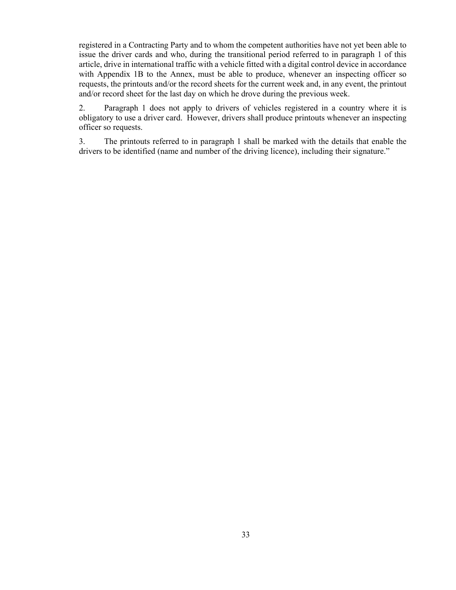registered in a Contracting Party and to whom the competent authorities have not yet been able to issue the driver cards and who, during the transitional period referred to in paragraph 1 of this article, drive in international traffic with a vehicle fitted with a digital control device in accordance with Appendix 1B to the Annex, must be able to produce, whenever an inspecting officer so requests, the printouts and/or the record sheets for the current week and, in any event, the printout and/or record sheet for the last day on which he drove during the previous week.

2. Paragraph 1 does not apply to drivers of vehicles registered in a country where it is obligatory to use a driver card. However, drivers shall produce printouts whenever an inspecting officer so requests.

3. The printouts referred to in paragraph 1 shall be marked with the details that enable the drivers to be identified (name and number of the driving licence), including their signature."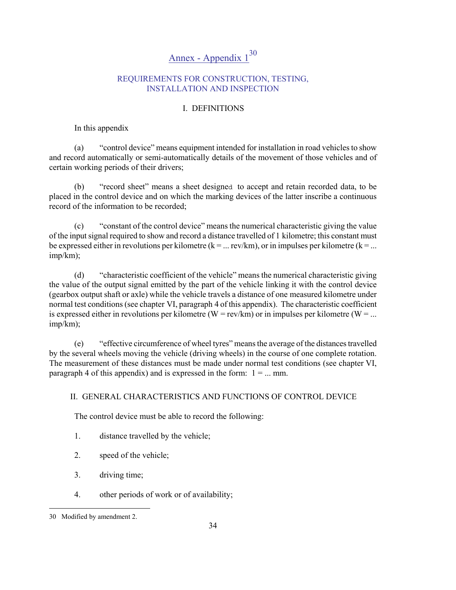# Annex - Appendix  $1^{30}$

## REQUIREMENTS FOR CONSTRUCTION, TESTING, INSTALLATION AND INSPECTION

# I. DEFINITIONS

## In this appendix

(a) "control device" means equipment intended for installation in road vehicles to show and record automatically or semi-automatically details of the movement of those vehicles and of certain working periods of their drivers;

(b) "record sheet" means a sheet designed to accept and retain recorded data, to be placed in the control device and on which the marking devices of the latter inscribe a continuous record of the information to be recorded;

(c) "constant of the control device" means the numerical characteristic giving the value of the input signal required to show and record a distance travelled of 1 kilometre; this constant must be expressed either in revolutions per kilometre ( $k = ...$  rev/km), or in impulses per kilometre ( $k = ...$ imp/km);

(d) "characteristic coefficient of the vehicle" means the numerical characteristic giving the value of the output signal emitted by the part of the vehicle linking it with the control device (gearbox output shaft or axle) while the vehicle travels a distance of one measured kilometre under normal test conditions (see chapter VI, paragraph 4 of this appendix). The characteristic coefficient is expressed either in revolutions per kilometre (W = rev/km) or in impulses per kilometre (W = ... imp/km);

(e) "effective circumference of wheel tyres" means the average of the distances travelled by the several wheels moving the vehicle (driving wheels) in the course of one complete rotation. The measurement of these distances must be made under normal test conditions (see chapter VI, paragraph 4 of this appendix) and is expressed in the form:  $1 = ...$  mm.

# II. GENERAL CHARACTERISTICS AND FUNCTIONS OF CONTROL DEVICE

The control device must be able to record the following:

- 1. distance travelled by the vehicle;
- 2. speed of the vehicle;
- 3. driving time;
- 4. other periods of work or of availability;

l

<sup>30</sup> Modified by amendment 2.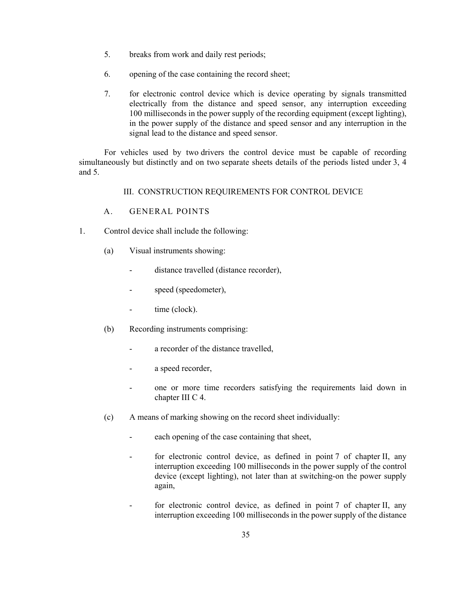- 5. breaks from work and daily rest periods;
- 6. opening of the case containing the record sheet;
- 7. for electronic control device which is device operating by signals transmitted electrically from the distance and speed sensor, any interruption exceeding 100 milliseconds in the power supply of the recording equipment (except lighting), in the power supply of the distance and speed sensor and any interruption in the signal lead to the distance and speed sensor.

For vehicles used by two drivers the control device must be capable of recording simultaneously but distinctly and on two separate sheets details of the periods listed under 3, 4 and 5.

III. CONSTRUCTION REQUIREMENTS FOR CONTROL DEVICE

- A. GENERAL POINTS
- 1. Control device shall include the following:
	- (a) Visual instruments showing:
		- distance travelled (distance recorder),
		- speed (speedometer),
		- time (clock).
	- (b) Recording instruments comprising:
		- a recorder of the distance travelled,
		- a speed recorder,
		- one or more time recorders satisfying the requirements laid down in chapter III C 4.
	- (c) A means of marking showing on the record sheet individually:
		- each opening of the case containing that sheet,
		- for electronic control device, as defined in point 7 of chapter II, any interruption exceeding 100 milliseconds in the power supply of the control device (except lighting), not later than at switching-on the power supply again,
		- for electronic control device, as defined in point 7 of chapter II, any interruption exceeding 100 milliseconds in the power supply of the distance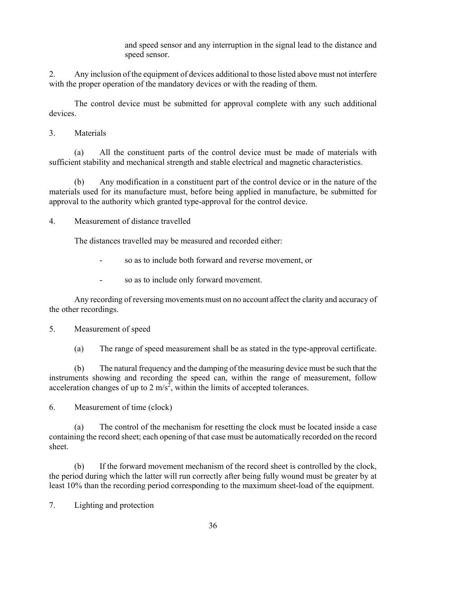and speed sensor and any interruption in the signal lead to the distance and speed sensor.

2. Any inclusion of the equipment of devices additional to those listed above must not interfere with the proper operation of the mandatory devices or with the reading of them.

The control device must be submitted for approval complete with any such additional devices.

3. Materials

(a) All the constituent parts of the control device must be made of materials with sufficient stability and mechanical strength and stable electrical and magnetic characteristics.

(b) Any modification in a constituent part of the control device or in the nature of the materials used for its manufacture must, before being applied in manufacture, be submitted for approval to the authority which granted type-approval for the control device.

4. Measurement of distance travelled

The distances travelled may be measured and recorded either:

- so as to include both forward and reverse movement, or
- so as to include only forward movement.

Any recording of reversing movements must on no account affect the clarity and accuracy of the other recordings.

#### 5. Measurement of speed

(a) The range of speed measurement shall be as stated in the type-approval certificate.

(b) The natural frequency and the damping of the measuring device must be such that the instruments showing and recording the speed can, within the range of measurement, follow acceleration changes of up to 2 m/s<sup>2</sup>, within the limits of accepted tolerances.

6. Measurement of time (clock)

(a) The control of the mechanism for resetting the clock must be located inside a case containing the record sheet; each opening of that case must be automatically recorded on the record sheet.

(b) If the forward movement mechanism of the record sheet is controlled by the clock, the period during which the latter will run correctly after being fully wound must be greater by at least 10% than the recording period corresponding to the maximum sheet-load of the equipment.

7. Lighting and protection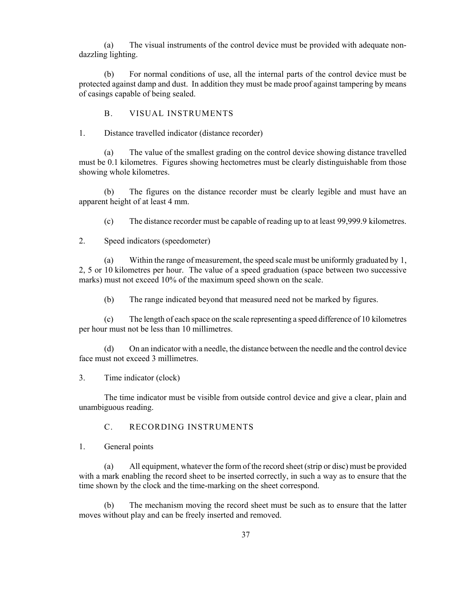(a) The visual instruments of the control device must be provided with adequate nondazzling lighting.

(b) For normal conditions of use, all the internal parts of the control device must be protected against damp and dust. In addition they must be made proof against tampering by means of casings capable of being sealed.

B. VISUAL INSTRUMENTS

1. Distance travelled indicator (distance recorder)

(a) The value of the smallest grading on the control device showing distance travelled must be 0.1 kilometres. Figures showing hectometres must be clearly distinguishable from those showing whole kilometres.

(b) The figures on the distance recorder must be clearly legible and must have an apparent height of at least 4 mm.

(c) The distance recorder must be capable of reading up to at least 99,999.9 kilometres.

2. Speed indicators (speedometer)

(a) Within the range of measurement, the speed scale must be uniformly graduated by 1, 2, 5 or 10 kilometres per hour. The value of a speed graduation (space between two successive marks) must not exceed 10% of the maximum speed shown on the scale.

(b) The range indicated beyond that measured need not be marked by figures.

(c) The length of each space on the scale representing a speed difference of 10 kilometres per hour must not be less than 10 millimetres.

(d) On an indicator with a needle, the distance between the needle and the control device face must not exceed 3 millimetres.

3. Time indicator (clock)

The time indicator must be visible from outside control device and give a clear, plain and unambiguous reading.

#### C. RECORDING INSTRUMENTS

1. General points

(a) All equipment, whatever the form of the record sheet (strip or disc) must be provided with a mark enabling the record sheet to be inserted correctly, in such a way as to ensure that the time shown by the clock and the time-marking on the sheet correspond.

(b) The mechanism moving the record sheet must be such as to ensure that the latter moves without play and can be freely inserted and removed.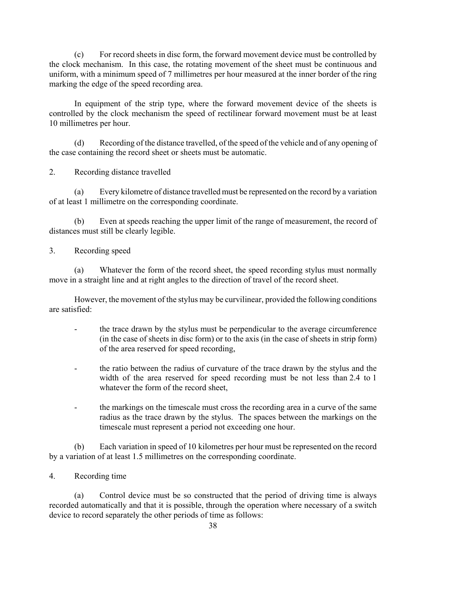(c) For record sheets in disc form, the forward movement device must be controlled by the clock mechanism. In this case, the rotating movement of the sheet must be continuous and uniform, with a minimum speed of 7 millimetres per hour measured at the inner border of the ring marking the edge of the speed recording area.

In equipment of the strip type, where the forward movement device of the sheets is controlled by the clock mechanism the speed of rectilinear forward movement must be at least 10 millimetres per hour.

(d) Recording of the distance travelled, of the speed of the vehicle and of any opening of the case containing the record sheet or sheets must be automatic.

2. Recording distance travelled

(a) Every kilometre of distance travelled must be represented on the record by a variation of at least 1 millimetre on the corresponding coordinate.

(b) Even at speeds reaching the upper limit of the range of measurement, the record of distances must still be clearly legible.

3. Recording speed

(a) Whatever the form of the record sheet, the speed recording stylus must normally move in a straight line and at right angles to the direction of travel of the record sheet.

However, the movement of the stylus may be curvilinear, provided the following conditions are satisfied:

- the trace drawn by the stylus must be perpendicular to the average circumference (in the case of sheets in disc form) or to the axis (in the case of sheets in strip form) of the area reserved for speed recording,
- the ratio between the radius of curvature of the trace drawn by the stylus and the width of the area reserved for speed recording must be not less than 2.4 to 1 whatever the form of the record sheet,
- the markings on the timescale must cross the recording area in a curve of the same radius as the trace drawn by the stylus. The spaces between the markings on the timescale must represent a period not exceeding one hour.

(b) Each variation in speed of 10 kilometres per hour must be represented on the record by a variation of at least 1.5 millimetres on the corresponding coordinate.

4. Recording time

(a) Control device must be so constructed that the period of driving time is always recorded automatically and that it is possible, through the operation where necessary of a switch device to record separately the other periods of time as follows: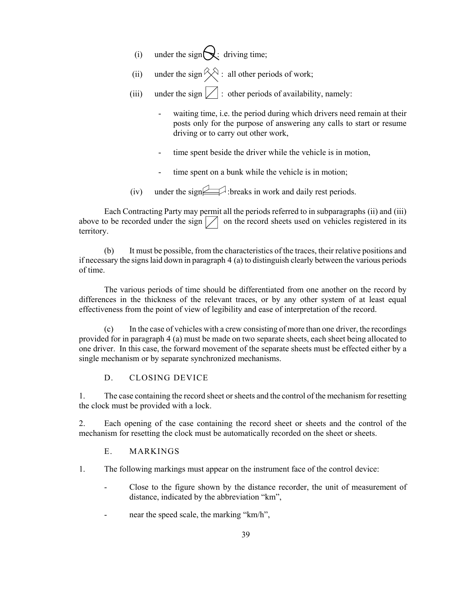- (i) under the sign $\bigotimes$ : driving time;
- (ii) under the sign  $\hat{\diamond}$  : all other periods of work;
- (iii) under the sign  $\boxed{\phantom{a}}$  : other periods of availability, namely:
	- waiting time, i.e. the period during which drivers need remain at their posts only for the purpose of answering any calls to start or resume driving or to carry out other work,
	- time spent beside the driver while the vehicle is in motion,
	- time spent on a bunk while the vehicle is in motion;
- (iv) under the sign  $\Box$ : breaks in work and daily rest periods.

Each Contracting Party may permit all the periods referred to in subparagraphs (ii) and (iii) above to be recorded under the sign  $\Box$  on the record sheets used on vehicles registered in its territory.

(b) It must be possible, from the characteristics of the traces, their relative positions and if necessary the signs laid down in paragraph 4 (a) to distinguish clearly between the various periods of time.

The various periods of time should be differentiated from one another on the record by differences in the thickness of the relevant traces, or by any other system of at least equal effectiveness from the point of view of legibility and ease of interpretation of the record.

(c) In the case of vehicles with a crew consisting of more than one driver, the recordings provided for in paragraph 4 (a) must be made on two separate sheets, each sheet being allocated to one driver. In this case, the forward movement of the separate sheets must be effected either by a single mechanism or by separate synchronized mechanisms.

## D. CLOSING DEVICE

1. The case containing the record sheet or sheets and the control of the mechanism for resetting the clock must be provided with a lock.

2. Each opening of the case containing the record sheet or sheets and the control of the mechanism for resetting the clock must be automatically recorded on the sheet or sheets.

## E. MARKINGS

- 1. The following markings must appear on the instrument face of the control device:
	- Close to the figure shown by the distance recorder, the unit of measurement of distance, indicated by the abbreviation "km",
	- near the speed scale, the marking "km/h",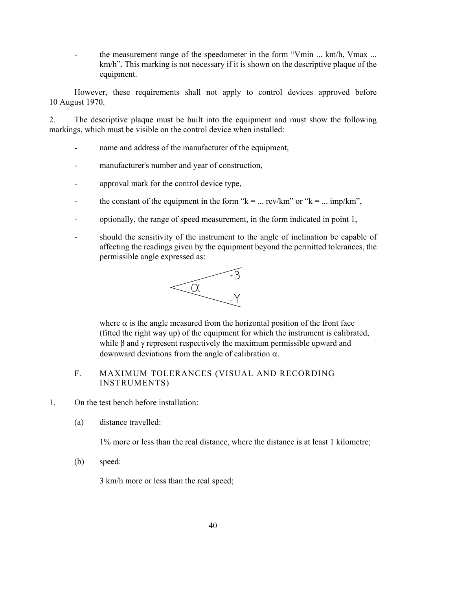the measurement range of the speedometer in the form "Vmin ... km/h, Vmax ... km/h". This marking is not necessary if it is shown on the descriptive plaque of the equipment.

However, these requirements shall not apply to control devices approved before 10 August 1970.

2. The descriptive plaque must be built into the equipment and must show the following markings, which must be visible on the control device when installed:

- name and address of the manufacturer of the equipment,
- manufacturer's number and year of construction,
- approval mark for the control device type,
- the constant of the equipment in the form " $k = ...$  rev/km" or " $k = ...$  imp/km",
- optionally, the range of speed measurement, in the form indicated in point 1,
- should the sensitivity of the instrument to the angle of inclination be capable of affecting the readings given by the equipment beyond the permitted tolerances, the permissible angle expressed as:



where  $\alpha$  is the angle measured from the horizontal position of the front face (fitted the right way up) of the equipment for which the instrument is calibrated, while  $\beta$  and  $\gamma$  represent respectively the maximum permissible upward and downward deviations from the angle of calibration α.

- F. MAXIMUM TOLERANCES (VISUAL AND RECORDING INSTRUMENTS)
- 1. On the test bench before installation:
	- (a) distance travelled:

1% more or less than the real distance, where the distance is at least 1 kilometre;

(b) speed:

3 km/h more or less than the real speed;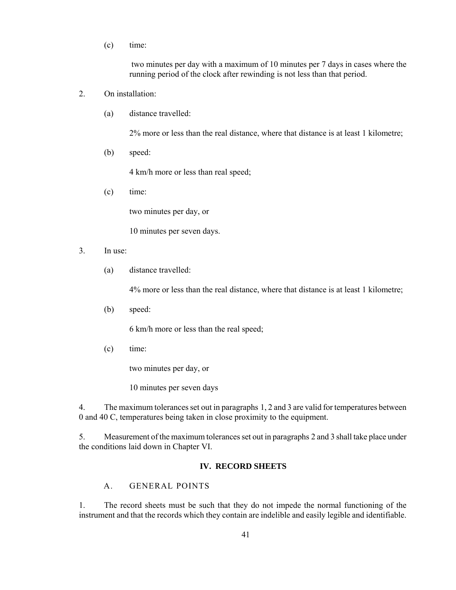(c) time:

 two minutes per day with a maximum of 10 minutes per 7 days in cases where the running period of the clock after rewinding is not less than that period.

- 2. On installation:
	- (a) distance travelled:

2% more or less than the real distance, where that distance is at least 1 kilometre;

(b) speed:

4 km/h more or less than real speed;

(c) time:

two minutes per day, or

10 minutes per seven days.

- 3. In use:
	- (a) distance travelled:

4% more or less than the real distance, where that distance is at least 1 kilometre;

(b) speed:

6 km/h more or less than the real speed;

(c) time:

two minutes per day, or

10 minutes per seven days

4. The maximum tolerances set out in paragraphs 1, 2 and 3 are valid for temperatures between 0 and 40 C, temperatures being taken in close proximity to the equipment.

5. Measurement of the maximum tolerances set out in paragraphs 2 and 3 shall take place under the conditions laid down in Chapter VI.

#### **IV. RECORD SHEETS**

# A. GENERAL POINTS

1. The record sheets must be such that they do not impede the normal functioning of the instrument and that the records which they contain are indelible and easily legible and identifiable.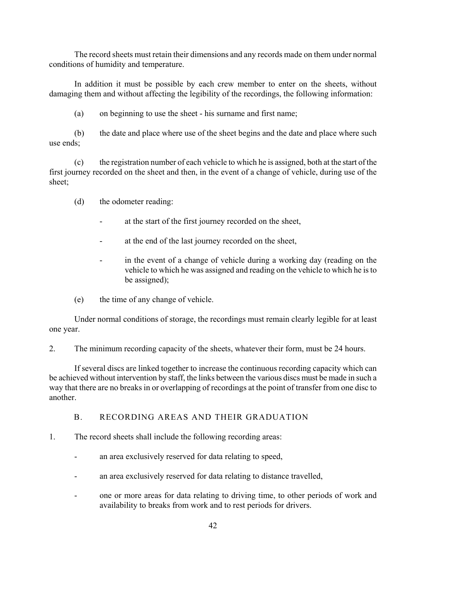The record sheets must retain their dimensions and any records made on them under normal conditions of humidity and temperature.

In addition it must be possible by each crew member to enter on the sheets, without damaging them and without affecting the legibility of the recordings, the following information:

(a) on beginning to use the sheet - his surname and first name;

(b) the date and place where use of the sheet begins and the date and place where such use ends;

(c) the registration number of each vehicle to which he is assigned, both at the start of the first journey recorded on the sheet and then, in the event of a change of vehicle, during use of the sheet;

(d) the odometer reading:

- at the start of the first journey recorded on the sheet,
- at the end of the last journey recorded on the sheet,
- in the event of a change of vehicle during a working day (reading on the vehicle to which he was assigned and reading on the vehicle to which he is to be assigned);
- (e) the time of any change of vehicle.

Under normal conditions of storage, the recordings must remain clearly legible for at least one year.

2. The minimum recording capacity of the sheets, whatever their form, must be 24 hours.

If several discs are linked together to increase the continuous recording capacity which can be achieved without intervention by staff, the links between the various discs must be made in such a way that there are no breaks in or overlapping of recordings at the point of transfer from one disc to another.

#### B. RECORDING AREAS AND THEIR GRADUATION

- 1. The record sheets shall include the following recording areas:
	- an area exclusively reserved for data relating to speed,
	- an area exclusively reserved for data relating to distance travelled,
	- one or more areas for data relating to driving time, to other periods of work and availability to breaks from work and to rest periods for drivers.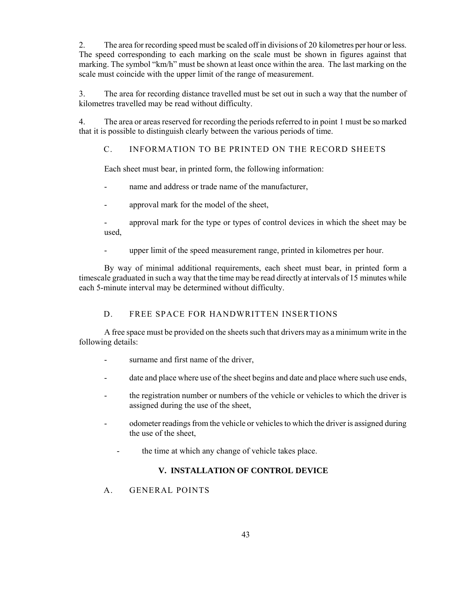2. The area for recording speed must be scaled off in divisions of 20 kilometres per hour or less. The speed corresponding to each marking on the scale must be shown in figures against that marking. The symbol "km/h" must be shown at least once within the area. The last marking on the scale must coincide with the upper limit of the range of measurement.

3. The area for recording distance travelled must be set out in such a way that the number of kilometres travelled may be read without difficulty.

4. The area or areas reserved for recording the periods referred to in point 1 must be so marked that it is possible to distinguish clearly between the various periods of time.

# C. INFORMATION TO BE PRINTED ON THE RECORD SHEETS

Each sheet must bear, in printed form, the following information:

- name and address or trade name of the manufacturer,
- approval mark for the model of the sheet,

- approval mark for the type or types of control devices in which the sheet may be used,

- upper limit of the speed measurement range, printed in kilometres per hour.

By way of minimal additional requirements, each sheet must bear, in printed form a timescale graduated in such a way that the time may be read directly at intervals of 15 minutes while each 5-minute interval may be determined without difficulty.

# D. FREE SPACE FOR HANDWRITTEN INSERTIONS

A free space must be provided on the sheets such that drivers may as a minimum write in the following details:

- surname and first name of the driver,
- date and place where use of the sheet begins and date and place where such use ends,
- the registration number or numbers of the vehicle or vehicles to which the driver is assigned during the use of the sheet,
- odometer readings from the vehicle or vehicles to which the driver is assigned during the use of the sheet,
	- the time at which any change of vehicle takes place.

# **V. INSTALLATION OF CONTROL DEVICE**

A. GENERAL POINTS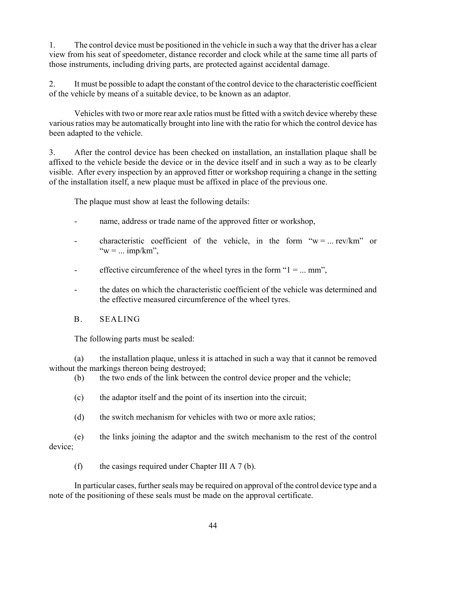1. The control device must be positioned in the vehicle in such a way that the driver has a clear view from his seat of speedometer, distance recorder and clock while at the same time all parts of those instruments, including driving parts, are protected against accidental damage.

2. It must be possible to adapt the constant of the control device to the characteristic coefficient of the vehicle by means of a suitable device, to be known as an adaptor.

Vehicles with two or more rear axle ratios must be fitted with a switch device whereby these various ratios may be automatically brought into line with the ratio for which the control device has been adapted to the vehicle.

3. After the control device has been checked on installation, an installation plaque shall be affixed to the vehicle beside the device or in the device itself and in such a way as to be clearly visible. After every inspection by an approved fitter or workshop requiring a change in the setting of the installation itself, a new plaque must be affixed in place of the previous one.

The plaque must show at least the following details:

- name, address or trade name of the approved fitter or workshop,
- characteristic coefficient of the vehicle, in the form " $w = ...$  rev/km" or " $w = ... \text{imp/km}$ ".
- effective circumference of the wheel tyres in the form " $1 = ...$  mm",
- the dates on which the characteristic coefficient of the vehicle was determined and the effective measured circumference of the wheel tyres.
- B. SEALING

The following parts must be sealed:

(a) the installation plaque, unless it is attached in such a way that it cannot be removed without the markings thereon being destroyed;

(b) the two ends of the link between the control device proper and the vehicle;

(c) the adaptor itself and the point of its insertion into the circuit;

(d) the switch mechanism for vehicles with two or more axle ratios;

(e) the links joining the adaptor and the switch mechanism to the rest of the control device;

(f) the casings required under Chapter III A 7 (b).

In particular cases, further seals may be required on approval of the control device type and a note of the positioning of these seals must be made on the approval certificate.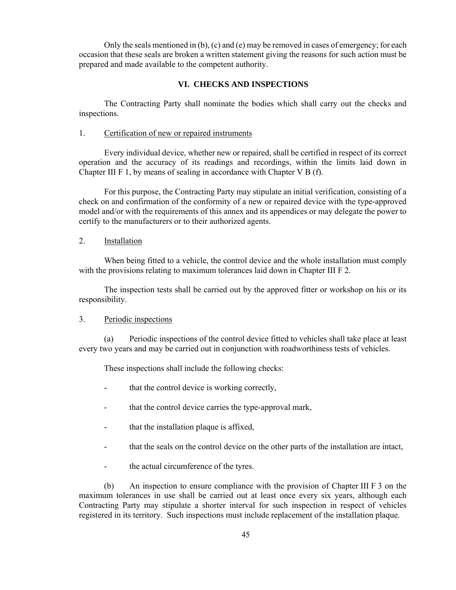Only the seals mentioned in (b), (c) and (e) may be removed in cases of emergency; for each occasion that these seals are broken a written statement giving the reasons for such action must be prepared and made available to the competent authority.

#### **VI. CHECKS AND INSPECTIONS**

The Contracting Party shall nominate the bodies which shall carry out the checks and inspections.

#### 1. Certification of new or repaired instruments

Every individual device, whether new or repaired, shall be certified in respect of its correct operation and the accuracy of its readings and recordings, within the limits laid down in Chapter III F 1, by means of sealing in accordance with Chapter V B (f).

For this purpose, the Contracting Party may stipulate an initial verification, consisting of a check on and confirmation of the conformity of a new or repaired device with the type-approved model and/or with the requirements of this annex and its appendices or may delegate the power to certify to the manufacturers or to their authorized agents.

#### 2. Installation

When being fitted to a vehicle, the control device and the whole installation must comply with the provisions relating to maximum tolerances laid down in Chapter III F 2.

The inspection tests shall be carried out by the approved fitter or workshop on his or its responsibility.

#### 3. Periodic inspections

(a) Periodic inspections of the control device fitted to vehicles shall take place at least every two years and may be carried out in conjunction with roadworthiness tests of vehicles.

These inspections shall include the following checks:

- that the control device is working correctly,
- that the control device carries the type-approval mark,
- that the installation plaque is affixed,
- that the seals on the control device on the other parts of the installation are intact,
- the actual circumference of the tyres.

(b) An inspection to ensure compliance with the provision of Chapter III F 3 on the maximum tolerances in use shall be carried out at least once every six years, although each Contracting Party may stipulate a shorter interval for such inspection in respect of vehicles registered in its territory. Such inspections must include replacement of the installation plaque.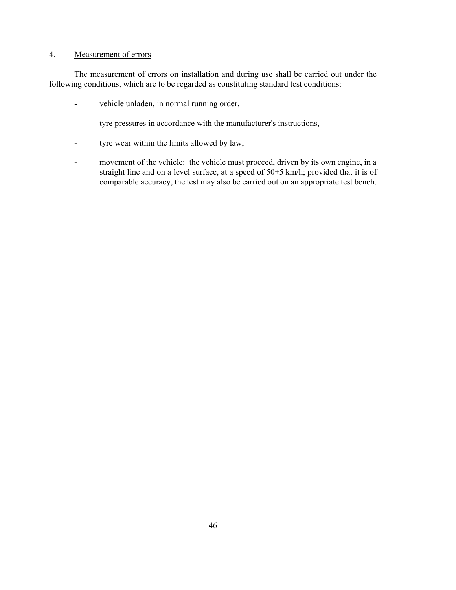## 4. Measurement of errors

The measurement of errors on installation and during use shall be carried out under the following conditions, which are to be regarded as constituting standard test conditions:

- vehicle unladen, in normal running order,
- tyre pressures in accordance with the manufacturer's instructions,
- tyre wear within the limits allowed by law,
- movement of the vehicle: the vehicle must proceed, driven by its own engine, in a straight line and on a level surface, at a speed of 50+5 km/h; provided that it is of comparable accuracy, the test may also be carried out on an appropriate test bench.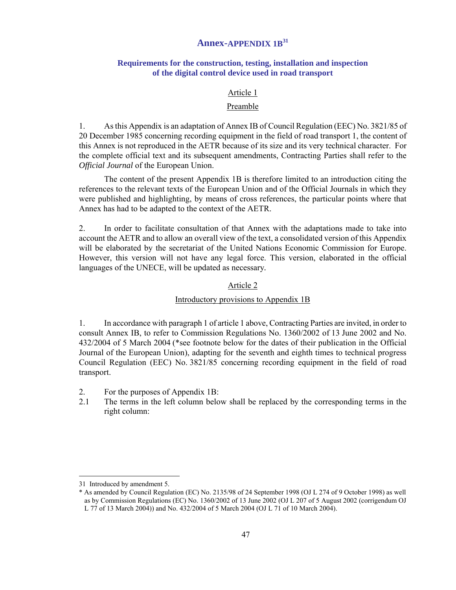# **Annex-APPENDIX 1B31**

## **Requirements for the construction, testing, installation and inspection of the digital control device used in road transport**

#### Article 1

#### Preamble

1. As this Appendix is an adaptation of Annex IB of Council Regulation (EEC) No. 3821/85 of 20 December 1985 concerning recording equipment in the field of road transport 1, the content of this Annex is not reproduced in the AETR because of its size and its very technical character. For the complete official text and its subsequent amendments, Contracting Parties shall refer to the *Official Journal* of the European Union.

The content of the present Appendix 1B is therefore limited to an introduction citing the references to the relevant texts of the European Union and of the Official Journals in which they were published and highlighting, by means of cross references, the particular points where that Annex has had to be adapted to the context of the AETR.

2. In order to facilitate consultation of that Annex with the adaptations made to take into account the AETR and to allow an overall view of the text, a consolidated version of this Appendix will be elaborated by the secretariat of the United Nations Economic Commission for Europe. However, this version will not have any legal force. This version, elaborated in the official languages of the UNECE, will be updated as necessary*.* 

#### Article 2

#### Introductory provisions to Appendix 1B

1. In accordance with paragraph 1 of article 1 above, Contracting Parties are invited, in order to consult Annex IB, to refer to Commission Regulations No. 1360/2002 of 13 June 2002 and No. 432/2004 of 5 March 2004 (\*see footnote below for the dates of their publication in the Official Journal of the European Union), adapting for the seventh and eighth times to technical progress Council Regulation (EEC) No. 3821/85 concerning recording equipment in the field of road transport.

- 2. For the purposes of Appendix 1B:
- 2.1 The terms in the left column below shall be replaced by the corresponding terms in the right column:

<sup>31</sup> Introduced by amendment 5.

<sup>\*</sup> As amended by Council Regulation (EC) No. 2135/98 of 24 September 1998 (OJ L 274 of 9 October 1998) as well as by Commission Regulations (EC) No. 1360/2002 of 13 June 2002 (OJ L 207 of 5 August 2002 (corrigendum OJ L 77 of 13 March 2004)) and No. 432/2004 of 5 March 2004 (OJ L 71 of 10 March 2004).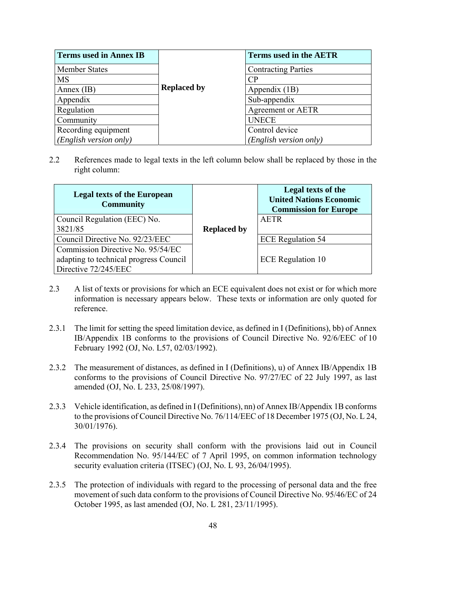| <b>Terms used in Annex IB</b> |                    | <b>Terms used in the AETR</b> |
|-------------------------------|--------------------|-------------------------------|
| <b>Member States</b>          |                    | <b>Contracting Parties</b>    |
| <b>MS</b>                     |                    | CP                            |
| Annex $(IB)$                  | <b>Replaced by</b> | Appendix (1B)                 |
| Appendix                      |                    | Sub-appendix                  |
| Regulation                    |                    | Agreement or AETR             |
| Community                     |                    | <b>UNECE</b>                  |
| Recording equipment           |                    | Control device                |
| (English version only)        |                    | (English version only)        |

2.2 References made to legal texts in the left column below shall be replaced by those in the right column:

| <b>Legal texts of the European</b><br><b>Community</b> |                    | Legal texts of the<br><b>United Nations Economic</b><br><b>Commission for Europe</b> |
|--------------------------------------------------------|--------------------|--------------------------------------------------------------------------------------|
| Council Regulation (EEC) No.                           |                    | AETR                                                                                 |
| 3821/85                                                | <b>Replaced by</b> |                                                                                      |
| Council Directive No. 92/23/EEC                        |                    | <b>ECE</b> Regulation 54                                                             |
| Commission Directive No. 95/54/EC                      |                    |                                                                                      |
| adapting to technical progress Council                 |                    | <b>ECE</b> Regulation 10                                                             |
| Directive 72/245/EEC                                   |                    |                                                                                      |

- 2.3 A list of texts or provisions for which an ECE equivalent does not exist or for which more information is necessary appears below. These texts or information are only quoted for reference.
- 2.3.1 The limit for setting the speed limitation device, as defined in I (Definitions), bb) of Annex IB/Appendix 1B conforms to the provisions of Council Directive No. 92/6/EEC of 10 February 1992 (OJ, No. L57, 02/03/1992).
- 2.3.2 The measurement of distances, as defined in I (Definitions), u) of Annex IB/Appendix 1B conforms to the provisions of Council Directive No. 97/27/EC of 22 July 1997, as last amended (OJ, No. L 233, 25/08/1997).
- 2.3.3 Vehicle identification, as defined in I (Definitions), nn) of Annex IB/Appendix 1B conforms to the provisions of Council Directive No. 76/114/EEC of 18 December 1975 (OJ, No. L 24, 30/01/1976).
- 2.3.4 The provisions on security shall conform with the provisions laid out in Council Recommendation No. 95/144/EC of 7 April 1995, on common information technology security evaluation criteria (ITSEC) (OJ, No. L 93, 26/04/1995).
- 2.3.5 The protection of individuals with regard to the processing of personal data and the free movement of such data conform to the provisions of Council Directive No. 95/46/EC of 24 October 1995, as last amended (OJ, No. L 281, 23/11/1995).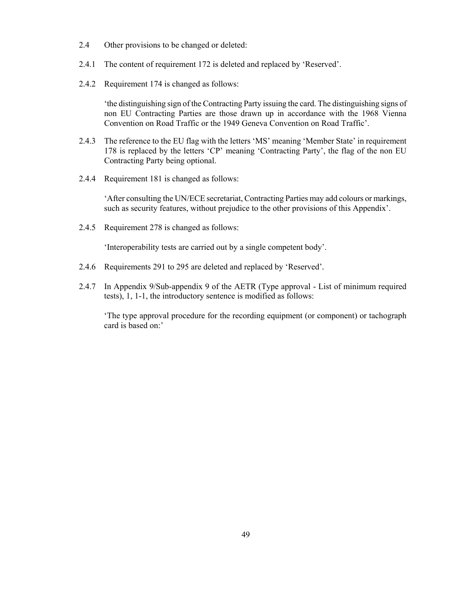- 2.4 Other provisions to be changed or deleted:
- 2.4.1 The content of requirement 172 is deleted and replaced by 'Reserved'.
- 2.4.2 Requirement 174 is changed as follows:

'the distinguishing sign of the Contracting Party issuing the card. The distinguishing signs of non EU Contracting Parties are those drawn up in accordance with the 1968 Vienna Convention on Road Traffic or the 1949 Geneva Convention on Road Traffic'.

- 2.4.3 The reference to the EU flag with the letters 'MS' meaning 'Member State' in requirement 178 is replaced by the letters 'CP' meaning 'Contracting Party', the flag of the non EU Contracting Party being optional.
- 2.4.4 Requirement 181 is changed as follows:

'After consulting the UN/ECE secretariat, Contracting Parties may add colours or markings, such as security features, without prejudice to the other provisions of this Appendix'.

2.4.5 Requirement 278 is changed as follows:

'Interoperability tests are carried out by a single competent body'.

- 2.4.6 Requirements 291 to 295 are deleted and replaced by 'Reserved'*.*
- 2.4.7 In Appendix 9/Sub-appendix 9 of the AETR (Type approval List of minimum required tests), 1, 1-1, the introductory sentence is modified as follows:

'The type approval procedure for the recording equipment (or component) or tachograph card is based on:'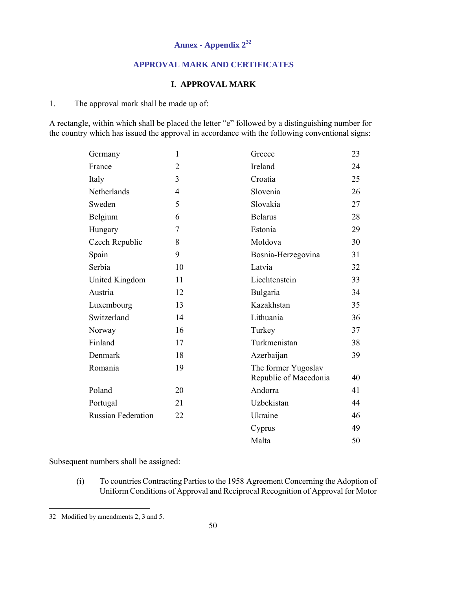# **Annex - Appendix 2<sup>32</sup>**

## **APPROVAL MARK AND CERTIFICATES**

#### **I. APPROVAL MARK**

1. The approval mark shall be made up of:

A rectangle, within which shall be placed the letter "e" followed by a distinguishing number for the country which has issued the approval in accordance with the following conventional signs:

| Germany                   | $\mathbf{1}$   | Greece                                       | 23 |
|---------------------------|----------------|----------------------------------------------|----|
| France                    | $\overline{2}$ | Ireland                                      | 24 |
| Italy                     | 3              | Croatia                                      | 25 |
| Netherlands               | $\overline{4}$ | Slovenia                                     | 26 |
| Sweden                    | 5              | Slovakia                                     | 27 |
| Belgium                   | 6              | <b>Belarus</b>                               | 28 |
| Hungary                   | 7              | Estonia                                      | 29 |
| Czech Republic            | 8              | Moldova                                      | 30 |
| Spain                     | 9              | Bosnia-Herzegovina                           | 31 |
| Serbia                    | 10             | Latvia                                       | 32 |
| United Kingdom            | 11             | Liechtenstein                                | 33 |
| Austria                   | 12             | Bulgaria                                     | 34 |
| Luxembourg                | 13             | Kazakhstan                                   | 35 |
| Switzerland               | 14             | Lithuania                                    | 36 |
| Norway                    | 16             | Turkey                                       | 37 |
| Finland                   | 17             | Turkmenistan                                 | 38 |
| Denmark                   | 18             | Azerbaijan                                   | 39 |
| Romania                   | 19             | The former Yugoslav<br>Republic of Macedonia | 40 |
| Poland                    | 20             | Andorra                                      | 41 |
| Portugal                  | 21             | Uzbekistan                                   | 44 |
| <b>Russian Federation</b> | 22             | Ukraine                                      | 46 |
|                           |                | Cyprus                                       | 49 |
|                           |                | Malta                                        | 50 |

Subsequent numbers shall be assigned:

 (i) To countries Contracting Parties to the 1958 Agreement Concerning the Adoption of Uniform Conditions of Approval and Reciprocal Recognition of Approval for Motor

l

<sup>32</sup> Modified by amendments 2, 3 and 5.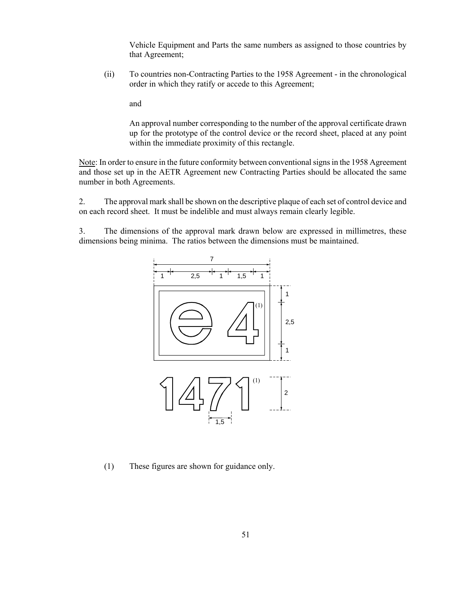Vehicle Equipment and Parts the same numbers as assigned to those countries by that Agreement;

(ii) To countries non-Contracting Parties to the 1958 Agreement - in the chronological order in which they ratify or accede to this Agreement;

and

An approval number corresponding to the number of the approval certificate drawn up for the prototype of the control device or the record sheet, placed at any point within the immediate proximity of this rectangle.

Note: In order to ensure in the future conformity between conventional signs in the 1958 Agreement and those set up in the AETR Agreement new Contracting Parties should be allocated the same number in both Agreements.

2. The approval mark shall be shown on the descriptive plaque of each set of control device and on each record sheet. It must be indelible and must always remain clearly legible.

3. The dimensions of the approval mark drawn below are expressed in millimetres, these dimensions being minima. The ratios between the dimensions must be maintained.



(1) These figures are shown for guidance only.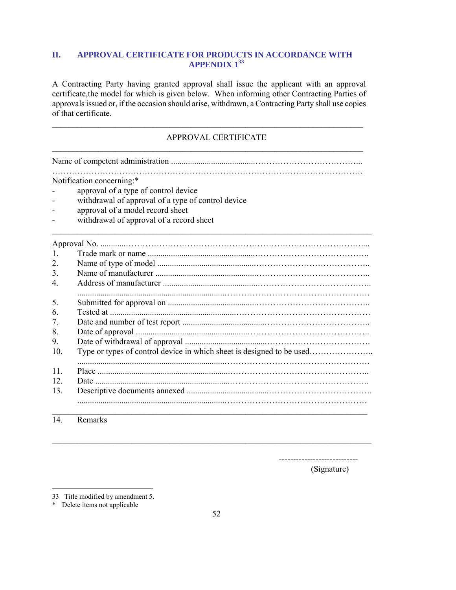# **II. APPROVAL CERTIFICATE FOR PRODUCTS IN ACCORDANCE WITH APPENDIX 133**

A Contracting Party having granted approval shall issue the applicant with an approval certificate,the model for which is given below. When informing other Contracting Parties of approvals issued or, if the occasion should arise, withdrawn, a Contracting Party shall use copies of that certificate.

\_\_\_\_\_\_\_\_\_\_\_\_\_\_\_\_\_\_\_\_\_\_\_\_\_\_\_\_\_\_\_\_\_\_\_\_\_\_\_\_\_\_\_\_\_\_\_\_\_\_\_\_\_\_\_\_\_\_\_\_\_\_\_\_\_\_\_\_\_\_\_\_\_\_

# APPROVAL CERTIFICATE

\_\_\_\_\_\_\_\_\_\_\_\_\_\_\_\_\_\_\_\_\_\_\_\_\_\_\_\_\_\_\_\_\_\_\_\_\_\_\_\_\_\_\_\_\_\_\_\_\_\_\_\_\_\_\_\_\_\_\_\_\_\_\_\_\_\_\_\_\_\_\_\_\_\_ Name of competent administration ........................................………………………………...

…………………………………………………………………………………………………

\_\_\_\_\_\_\_\_\_\_\_\_\_\_\_\_\_\_\_\_\_\_\_\_\_\_\_\_\_\_\_\_\_\_\_\_\_\_\_\_\_\_\_\_\_\_\_\_\_\_\_\_\_\_\_\_\_\_\_\_\_\_\_\_\_\_\_\_\_\_\_\_\_\_\_\_

Notification concerning:\*

- approval of a type of control device
- withdrawal of approval of a type of control device
- approval of a model record sheet
- withdrawal of approval of a record sheet

| $\mathbf{1}$ |  |
|--------------|--|
| 2.           |  |
| 3.           |  |
| 4            |  |
| 5.           |  |
| 6            |  |
| 7.           |  |
| 8.           |  |
| 9.           |  |
| 10.          |  |
|              |  |
| 11           |  |
| 12           |  |
| 13           |  |
|              |  |
|              |  |

14. Remarks

 $\overline{a}$ 

----------------------------

(Signature)

 $\mathcal{L}_\text{max} = \frac{1}{2} \sum_{i=1}^n \mathcal{L}_\text{max} = \frac{1}{2} \sum_{i=1}^n \mathcal{L}_\text{max} = \frac{1}{2} \sum_{i=1}^n \mathcal{L}_\text{max} = \frac{1}{2} \sum_{i=1}^n \mathcal{L}_\text{max} = \frac{1}{2} \sum_{i=1}^n \mathcal{L}_\text{max} = \frac{1}{2} \sum_{i=1}^n \mathcal{L}_\text{max} = \frac{1}{2} \sum_{i=1}^n \mathcal{L}_\text{max} = \frac{1}{2} \sum_{i=$ 

<sup>33</sup> Title modified by amendment 5.

<sup>\*</sup> Delete items not applicable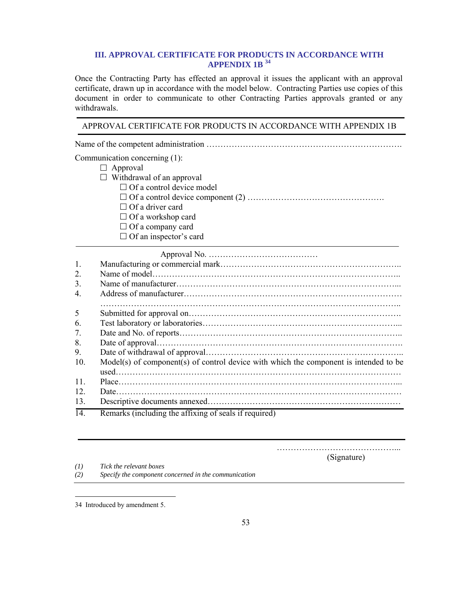## **III. APPROVAL CERTIFICATE FOR PRODUCTS IN ACCORDANCE WITH APPENDIX 1B 34**

Once the Contracting Party has effected an approval it issues the applicant with an approval certificate, drawn up in accordance with the model below. Contracting Parties use copies of this document in order to communicate to other Contracting Parties approvals granted or any withdrawals.

#### APPROVAL CERTIFICATE FOR PRODUCTS IN ACCORDANCE WITH APPENDIX 1B

Name of the competent administration …………………………………………………………….

Communication concerning (1):

- $\Box$  Approval
- $\Box$  Withdrawal of an approval
	- $\Box$  Of a control device model
	- Of a control device component (2) ………………………………………….
	- $\Box$  Of a driver card
	- $\Box$  Of a workshop card
	- $\Box$  Of a company card
	- $\Box$  Of an inspector's card

|--|--|--|

| 1.              |                                                                                       |
|-----------------|---------------------------------------------------------------------------------------|
| 2.              |                                                                                       |
| 3.              |                                                                                       |
| 4               |                                                                                       |
| 5               |                                                                                       |
| 6.              |                                                                                       |
| 7.              |                                                                                       |
| 8.              |                                                                                       |
| 9.              |                                                                                       |
| 10.             | Model(s) of component(s) of control device with which the component is intended to be |
| 11              |                                                                                       |
| 12              |                                                                                       |
| 13.             |                                                                                       |
| $\overline{11}$ | Remarks (including the efficing of sools if required)                                 |

14. Remarks (including the affixing of seals if required)

……………………………………...

(Signature)

*(1) Tick the relevant boxes* 

*(2) Specify the component concerned in the communication* 

<sup>34</sup> Introduced by amendment 5.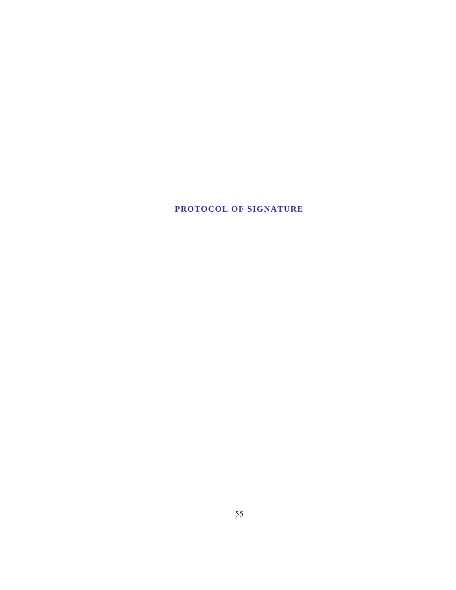# **PROTOCOL OF SIGNATURE**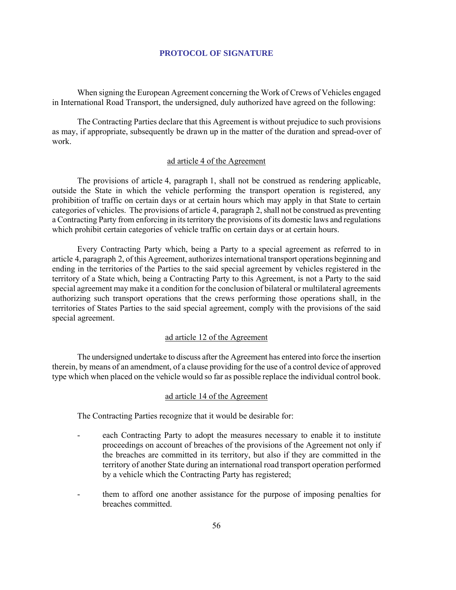#### **PROTOCOL OF SIGNATURE**

When signing the European Agreement concerning the Work of Crews of Vehicles engaged in International Road Transport, the undersigned, duly authorized have agreed on the following:

The Contracting Parties declare that this Agreement is without prejudice to such provisions as may, if appropriate, subsequently be drawn up in the matter of the duration and spread-over of work.

#### ad article 4 of the Agreement

The provisions of article 4, paragraph 1, shall not be construed as rendering applicable, outside the State in which the vehicle performing the transport operation is registered, any prohibition of traffic on certain days or at certain hours which may apply in that State to certain categories of vehicles. The provisions of article 4, paragraph 2, shall not be construed as preventing a Contracting Party from enforcing in its territory the provisions of its domestic laws and regulations which prohibit certain categories of vehicle traffic on certain days or at certain hours.

Every Contracting Party which, being a Party to a special agreement as referred to in article 4, paragraph 2, of this Agreement, authorizes international transport operations beginning and ending in the territories of the Parties to the said special agreement by vehicles registered in the territory of a State which, being a Contracting Party to this Agreement, is not a Party to the said special agreement may make it a condition for the conclusion of bilateral or multilateral agreements authorizing such transport operations that the crews performing those operations shall, in the territories of States Parties to the said special agreement, comply with the provisions of the said special agreement.

#### ad article 12 of the Agreement

The undersigned undertake to discuss after the Agreement has entered into force the insertion therein, by means of an amendment, of a clause providing for the use of a control device of approved type which when placed on the vehicle would so far as possible replace the individual control book.

#### ad article 14 of the Agreement

The Contracting Parties recognize that it would be desirable for:

- each Contracting Party to adopt the measures necessary to enable it to institute proceedings on account of breaches of the provisions of the Agreement not only if the breaches are committed in its territory, but also if they are committed in the territory of another State during an international road transport operation performed by a vehicle which the Contracting Party has registered;
- them to afford one another assistance for the purpose of imposing penalties for breaches committed.